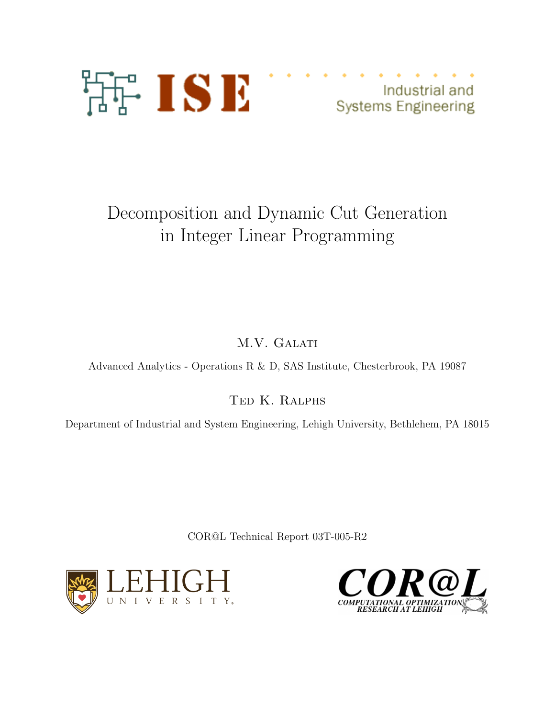

Industrial and **Systems Engineering** 

# Decomposition and Dynamic Cut Generation in Integer Linear Programming

M.V. GALATI

Advanced Analytics - Operations R & D, SAS Institute, Chesterbrook, PA 19087

Ted K. Ralphs

Department of Industrial and System Engineering, Lehigh University, Bethlehem, PA 18015

COR@L Technical Report 03T-005-R2



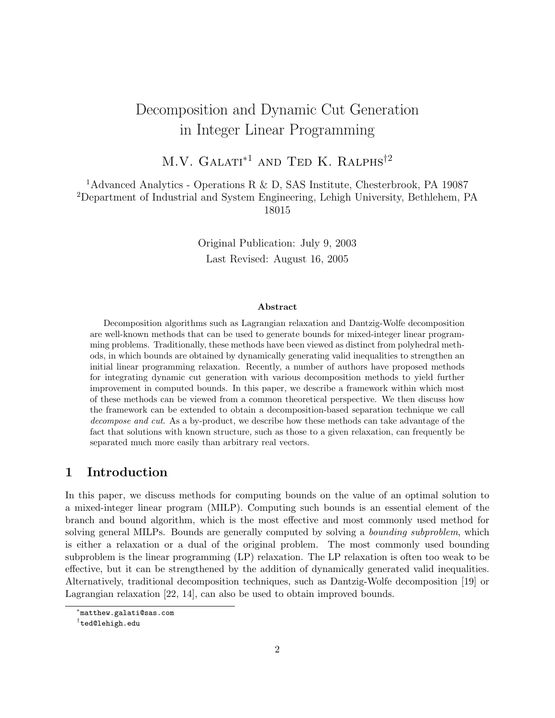## Decomposition and Dynamic Cut Generation in Integer Linear Programming

M.V. GALATI<sup>\*1</sup> AND TED K. RALPHS<sup>†2</sup>

<sup>1</sup>Advanced Analytics - Operations R & D, SAS Institute, Chesterbrook, PA 19087 <sup>2</sup>Department of Industrial and System Engineering, Lehigh University, Bethlehem, PA 18015

> Original Publication: July 9, 2003 Last Revised: August 16, 2005

#### Abstract

Decomposition algorithms such as Lagrangian relaxation and Dantzig-Wolfe decomposition are well-known methods that can be used to generate bounds for mixed-integer linear programming problems. Traditionally, these methods have been viewed as distinct from polyhedral methods, in which bounds are obtained by dynamically generating valid inequalities to strengthen an initial linear programming relaxation. Recently, a number of authors have proposed methods for integrating dynamic cut generation with various decomposition methods to yield further improvement in computed bounds. In this paper, we describe a framework within which most of these methods can be viewed from a common theoretical perspective. We then discuss how the framework can be extended to obtain a decomposition-based separation technique we call decompose and cut. As a by-product, we describe how these methods can take advantage of the fact that solutions with known structure, such as those to a given relaxation, can frequently be separated much more easily than arbitrary real vectors.

## 1 Introduction

In this paper, we discuss methods for computing bounds on the value of an optimal solution to a mixed-integer linear program (MILP). Computing such bounds is an essential element of the branch and bound algorithm, which is the most effective and most commonly used method for solving general MILPs. Bounds are generally computed by solving a *bounding subproblem*, which is either a relaxation or a dual of the original problem. The most commonly used bounding subproblem is the linear programming (LP) relaxation. The LP relaxation is often too weak to be effective, but it can be strengthened by the addition of dynamically generated valid inequalities. Alternatively, traditional decomposition techniques, such as Dantzig-Wolfe decomposition [19] or Lagrangian relaxation [22, 14], can also be used to obtain improved bounds.

<sup>∗</sup> matthew.galati@sas.com

<sup>†</sup> ted@lehigh.edu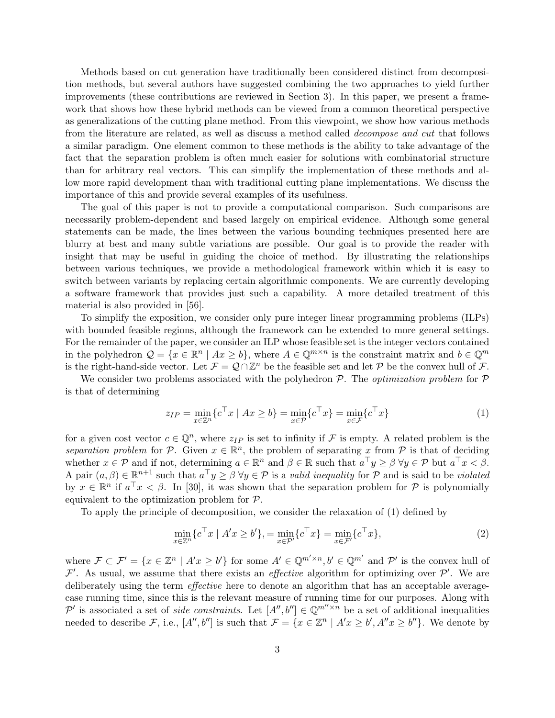Methods based on cut generation have traditionally been considered distinct from decomposition methods, but several authors have suggested combining the two approaches to yield further improvements (these contributions are reviewed in Section 3). In this paper, we present a framework that shows how these hybrid methods can be viewed from a common theoretical perspective as generalizations of the cutting plane method. From this viewpoint, we show how various methods from the literature are related, as well as discuss a method called decompose and cut that follows a similar paradigm. One element common to these methods is the ability to take advantage of the fact that the separation problem is often much easier for solutions with combinatorial structure than for arbitrary real vectors. This can simplify the implementation of these methods and allow more rapid development than with traditional cutting plane implementations. We discuss the importance of this and provide several examples of its usefulness.

The goal of this paper is not to provide a computational comparison. Such comparisons are necessarily problem-dependent and based largely on empirical evidence. Although some general statements can be made, the lines between the various bounding techniques presented here are blurry at best and many subtle variations are possible. Our goal is to provide the reader with insight that may be useful in guiding the choice of method. By illustrating the relationships between various techniques, we provide a methodological framework within which it is easy to switch between variants by replacing certain algorithmic components. We are currently developing a software framework that provides just such a capability. A more detailed treatment of this material is also provided in [56].

To simplify the exposition, we consider only pure integer linear programming problems (ILPs) with bounded feasible regions, although the framework can be extended to more general settings. For the remainder of the paper, we consider an ILP whose feasible set is the integer vectors contained in the polyhedron  $\mathcal{Q} = \{x \in \mathbb{R}^n \mid Ax \geq b\}$ , where  $A \in \mathbb{Q}^{m \times n}$  is the constraint matrix and  $b \in \mathbb{Q}^m$ is the right-hand-side vector. Let  $\mathcal{F} = \mathcal{Q} \cap \mathbb{Z}^n$  be the feasible set and let  $\mathcal{P}$  be the convex hull of  $\mathcal{F}$ .

We consider two problems associated with the polyhedron  $P$ . The *optimization problem* for  $P$ is that of determining

$$
z_{IP} = \min_{x \in \mathbb{Z}^n} \{ c^\top x \mid Ax \ge b \} = \min_{x \in \mathcal{P}} \{ c^\top x \} = \min_{x \in \mathcal{F}} \{ c^\top x \} \tag{1}
$$

for a given cost vector  $c \in \mathbb{Q}^n$ , where  $z_{IP}$  is set to infinity if F is empty. A related problem is the separation problem for P. Given  $x \in \mathbb{R}^n$ , the problem of separating x from P is that of deciding whether  $x \in \mathcal{P}$  and if not, determining  $a \in \mathbb{R}^n$  and  $\beta \in \mathbb{R}$  such that  $a^{\top}y \geq \beta \ \forall y \in \mathcal{P}$  but  $a^{\top}x < \beta$ . A pair  $(a, \beta) \in \mathbb{R}^{n+1}$  such that  $a^{\top}y \geq \beta \ \forall y \in \mathcal{P}$  is a valid inequality for  $\mathcal{P}$  and is said to be violated by  $x \in \mathbb{R}^n$  if  $a^{\top}x < \beta$ . In [30], it was shown that the separation problem for  $\mathcal P$  is polynomially equivalent to the optimization problem for P.

To apply the principle of decomposition, we consider the relaxation of (1) defined by

$$
\min_{x \in \mathbb{Z}^n} \{ c^\top x \mid A'x \ge b' \}, = \min_{x \in \mathcal{P}'} \{ c^\top x \} = \min_{x \in \mathcal{F}'} \{ c^\top x \},\tag{2}
$$

where  $\mathcal{F} \subset \mathcal{F}' = \{x \in \mathbb{Z}^n \mid A'x \ge b'\}$  for some  $A' \in \mathbb{Q}^{m' \times n}, b' \in \mathbb{Q}^{m'}$  and  $\mathcal{P}'$  is the convex hull of  $\mathcal{F}'$ . As usual, we assume that there exists an *effective* algorithm for optimizing over  $\mathcal{P}'$ . We are deliberately using the term effective here to denote an algorithm that has an acceptable averagecase running time, since this is the relevant measure of running time for our purposes. Along with P' is associated a set of *side constraints*. Let  $[A'', b''] \in \mathbb{Q}^{m'' \times n}$  be a set of additional inequalities needed to describe F, i.e.,  $[A'', b'']$  is such that  $\mathcal{F} = \{x \in \mathbb{Z}^n \mid A'x \geq b', A''x \geq b''\}.$  We denote by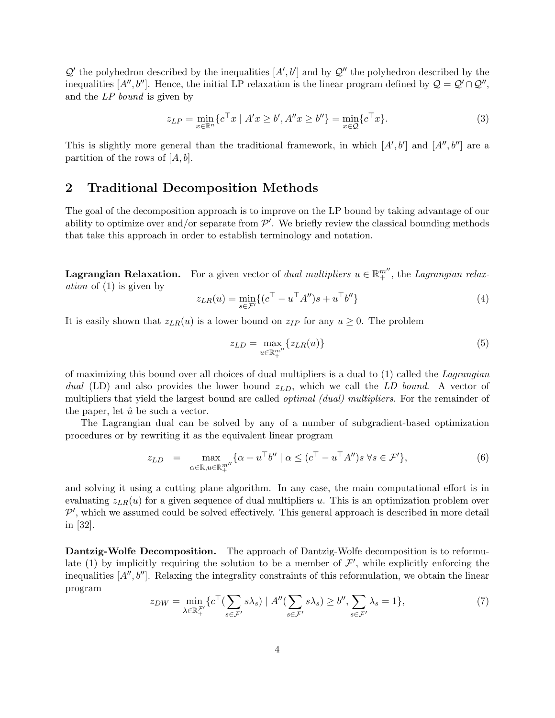$\mathcal{Q}'$  the polyhedron described by the inequalities  $[A', b']$  and by  $\mathcal{Q}''$  the polyhedron described by the inequalities  $[A'', b'']$ . Hence, the initial LP relaxation is the linear program defined by  $\mathcal{Q} = \mathcal{Q}' \cap \mathcal{Q}''$ , and the LP bound is given by

$$
z_{LP} = \min_{x \in \mathbb{R}^n} \{ c^\top x \mid A'x \ge b', A''x \ge b'' \} = \min_{x \in \mathcal{Q}} \{ c^\top x \}. \tag{3}
$$

This is slightly more general than the traditional framework, in which  $[A', b']$  and  $[A'', b'']$  are a partition of the rows of  $[A, b]$ .

## 2 Traditional Decomposition Methods

The goal of the decomposition approach is to improve on the LP bound by taking advantage of our ability to optimize over and/or separate from  $\mathcal{P}'$ . We briefly review the classical bounding methods that take this approach in order to establish terminology and notation.

**Lagrangian Relaxation.** For a given vector of *dual multipliers*  $u \in \mathbb{R}^{m''}_{+}$ , the Lagrangian relaxation of (1) is given by

$$
z_{LR}(u) = \min_{s \in \mathcal{F}'} \{ (c^{\top} - u^{\top} A'')s + u^{\top} b'' \}
$$
\n
$$
\tag{4}
$$

It is easily shown that  $z_{LR}(u)$  is a lower bound on  $z_{IP}$  for any  $u \geq 0$ . The problem

$$
z_{LD} = \max_{u \in \mathbb{R}_+^{m'}} \{z_{LR}(u)\}
$$
\n<sup>(5)</sup>

of maximizing this bound over all choices of dual multipliers is a dual to  $(1)$  called the *Lagrangian* dual (LD) and also provides the lower bound  $z_{LD}$ , which we call the LD bound. A vector of multipliers that yield the largest bound are called *optimal (dual) multipliers*. For the remainder of the paper, let  $\hat{u}$  be such a vector.

The Lagrangian dual can be solved by any of a number of subgradient-based optimization procedures or by rewriting it as the equivalent linear program

$$
z_{LD} = \max_{\alpha \in \mathbb{R}, u \in \mathbb{R}^{m''}_{+}} \{ \alpha + u^{\top} b'' \mid \alpha \leq (c^{\top} - u^{\top} A'') s \ \forall s \in \mathcal{F}' \},\tag{6}
$$

and solving it using a cutting plane algorithm. In any case, the main computational effort is in evaluating  $z_{LR}(u)$  for a given sequence of dual multipliers u. This is an optimization problem over  $\mathcal{P}'$ , which we assumed could be solved effectively. This general approach is described in more detail in [32].

Dantzig-Wolfe Decomposition. The approach of Dantzig-Wolfe decomposition is to reformulate (1) by implicitly requiring the solution to be a member of  $\mathcal{F}'$ , while explicitly enforcing the inequalities  $[A'', b'']$ . Relaxing the integrality constraints of this reformulation, we obtain the linear program

$$
z_{DW} = \min_{\lambda \in \mathbb{R}_+^{\mathcal{F}'}} \{ c^\top (\sum_{s \in \mathcal{F}'} s\lambda_s) \mid A'' (\sum_{s \in \mathcal{F}'} s\lambda_s) \ge b'', \sum_{s \in \mathcal{F}'} \lambda_s = 1 \},\tag{7}
$$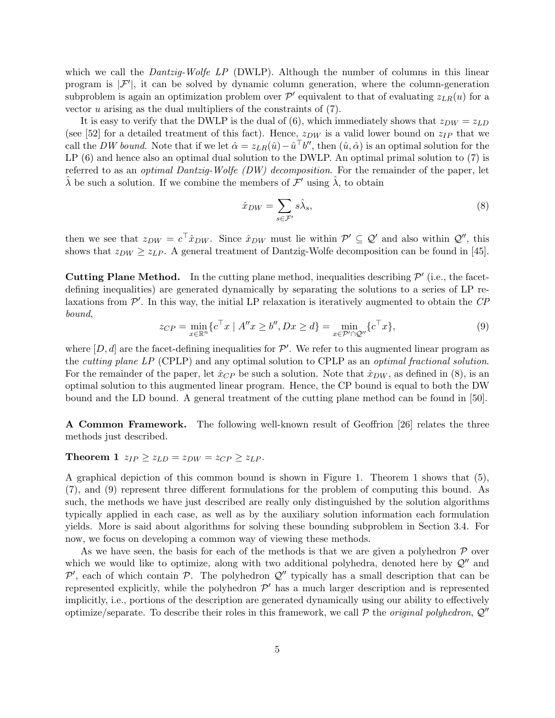which we call the *Dantzig-Wolfe LP* (DWLP). Although the number of columns in this linear program is  $|\mathcal{F}'|$ , it can be solved by dynamic column generation, where the column-generation subproblem is again an optimization problem over  $\mathcal{P}'$  equivalent to that of evaluating  $z_{LR}(u)$  for a vector  $u$  arising as the dual multipliers of the constraints of  $(7)$ .

It is easy to verify that the DWLP is the dual of (6), which immediately shows that  $z_{DW} = z_{LD}$ (see [52] for a detailed treatment of this fact). Hence,  $z_{DW}$  is a valid lower bound on  $z_{IP}$  that we call the DW bound. Note that if we let  $\hat{\alpha} = z_{LR}(\hat{u}) - \hat{u}^{\top}b''$ , then  $(\hat{u}, \hat{\alpha})$  is an optimal solution for the LP  $(6)$  and hence also an optimal dual solution to the DWLP. An optimal primal solution to  $(7)$  is referred to as an *optimal Dantzig-Wolfe (DW) decomposition*. For the remainder of the paper, let  $\hat{\lambda}$  be such a solution. If we combine the members of  $\mathcal{F}'$  using  $\hat{\lambda}$ , to obtain

$$
\hat{x}_{DW} = \sum_{s \in \mathcal{F}'} s\hat{\lambda}_s,\tag{8}
$$

then we see that  $z_{DW} = c^{\top}\hat{x}_{DW}$ . Since  $\hat{x}_{DW}$  must lie within  $\mathcal{P}' \subseteq \mathcal{Q}'$  and also within  $\mathcal{Q}''$ , this shows that  $z_{DW} \ge z_{LP}$ . A general treatment of Dantzig-Wolfe decomposition can be found in [45].

Cutting Plane Method. In the cutting plane method, inequalities describing  $\mathcal{P}'$  (i.e., the facetdefining inequalities) are generated dynamically by separating the solutions to a series of LP relaxations from  $\mathcal{P}'$ . In this way, the initial LP relaxation is iteratively augmented to obtain the  $\mathbb{CP}$ bound,

$$
z_{CP} = \min_{x \in \mathbb{R}^n} \{ c^{\top} x \mid A''x \ge b'', Dx \ge d \} = \min_{x \in \mathcal{P}' \cap \mathcal{Q}''} \{ c^{\top} x \},\tag{9}
$$

where  $[D, d]$  are the facet-defining inequalities for  $\mathcal{P}'$ . We refer to this augmented linear program as the *cutting plane LP* (CPLP) and any optimal solution to CPLP as an *optimal fractional solution*. For the remainder of the paper, let  $\hat{x}_{CP}$  be such a solution. Note that  $\hat{x}_{DW}$ , as defined in (8), is an optimal solution to this augmented linear program. Hence, the CP bound is equal to both the DW bound and the LD bound. A general treatment of the cutting plane method can be found in [50].

A Common Framework. The following well-known result of Geoffrion [26] relates the three methods just described.

## Theorem 1  $z_{IP} \ge z_{LD} = z_{DW} = z_{CP} \ge z_{LP}$ .

A graphical depiction of this common bound is shown in Figure 1. Theorem 1 shows that (5), (7), and (9) represent three different formulations for the problem of computing this bound. As such, the methods we have just described are really only distinguished by the solution algorithms typically applied in each case, as well as by the auxiliary solution information each formulation yields. More is said about algorithms for solving these bounding subproblem in Section 3.4. For now, we focus on developing a common way of viewing these methods.

As we have seen, the basis for each of the methods is that we are given a polyhedron  $P$  over which we would like to optimize, along with two additional polyhedra, denoted here by  $\mathcal{Q}''$  and  $\mathcal{P}'$ , each of which contain  $\mathcal{P}$ . The polyhedron  $\mathcal{Q}''$  typically has a small description that can be represented explicitly, while the polyhedron  $\mathcal{P}'$  has a much larger description and is represented implicitly, i.e., portions of the description are generated dynamically using our ability to effectively optimize/separate. To describe their roles in this framework, we call  $P$  the *original polyhedron*,  $Q''$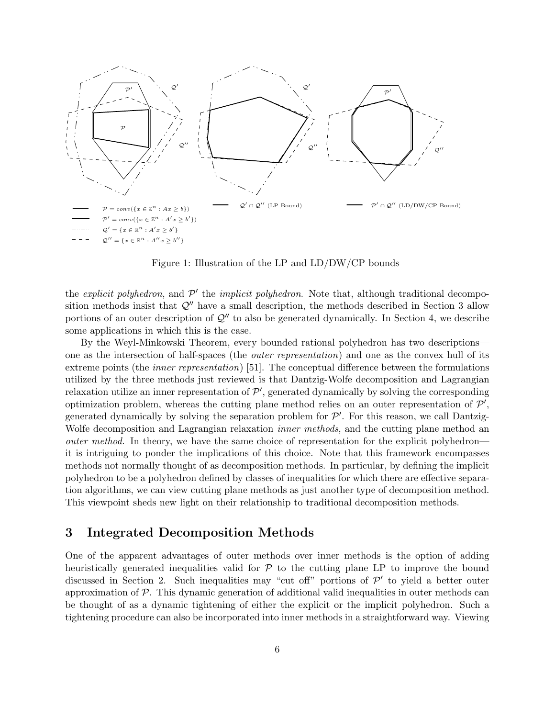

Figure 1: Illustration of the LP and LD/DW/CP bounds

the *explicit polyhedron*, and  $\mathcal{P}'$  the *implicit polyhedron*. Note that, although traditional decomposition methods insist that  $\mathcal{Q}''$  have a small description, the methods described in Section 3 allow portions of an outer description of  $\mathcal{Q}''$  to also be generated dynamically. In Section 4, we describe some applications in which this is the case.

By the Weyl-Minkowski Theorem, every bounded rational polyhedron has two descriptions one as the intersection of half-spaces (the outer representation) and one as the convex hull of its extreme points (the *inner representation*) [51]. The conceptual difference between the formulations utilized by the three methods just reviewed is that Dantzig-Wolfe decomposition and Lagrangian relaxation utilize an inner representation of  $\mathcal{P}'$ , generated dynamically by solving the corresponding optimization problem, whereas the cutting plane method relies on an outer representation of  $\mathcal{P}',$ generated dynamically by solving the separation problem for  $\mathcal{P}'$ . For this reason, we call Dantzig-Wolfe decomposition and Lagrangian relaxation *inner methods*, and the cutting plane method an outer method. In theory, we have the same choice of representation for the explicit polyhedron it is intriguing to ponder the implications of this choice. Note that this framework encompasses methods not normally thought of as decomposition methods. In particular, by defining the implicit polyhedron to be a polyhedron defined by classes of inequalities for which there are effective separation algorithms, we can view cutting plane methods as just another type of decomposition method. This viewpoint sheds new light on their relationship to traditional decomposition methods.

## 3 Integrated Decomposition Methods

One of the apparent advantages of outer methods over inner methods is the option of adding heuristically generated inequalities valid for  $P$  to the cutting plane LP to improve the bound discussed in Section 2. Such inequalities may "cut off" portions of  $\mathcal{P}'$  to yield a better outer approximation of  $P$ . This dynamic generation of additional valid inequalities in outer methods can be thought of as a dynamic tightening of either the explicit or the implicit polyhedron. Such a tightening procedure can also be incorporated into inner methods in a straightforward way. Viewing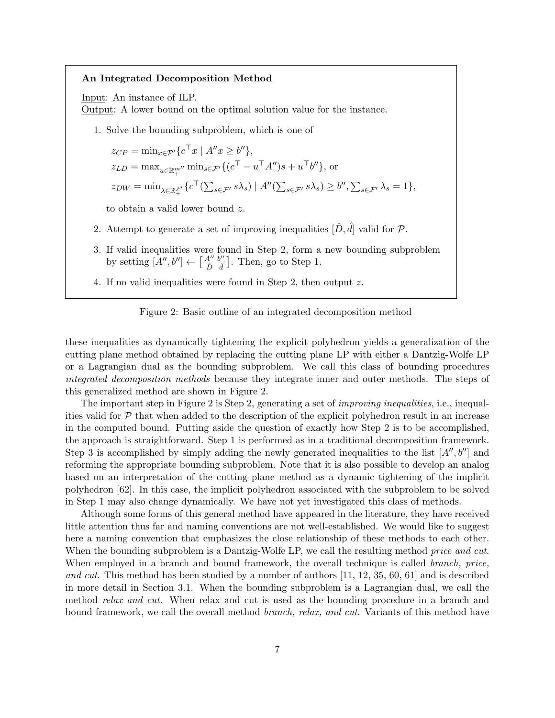#### An Integrated Decomposition Method

Input: An instance of ILP.

Output: A lower bound on the optimal solution value for the instance.

1. Solve the bounding subproblem, which is one of

 $z_{CP} = \min_{x \in \mathcal{P}'} \{ c^\top x \mid A''x \ge b'' \},\$  $z_{LD} = \max_{u \in \mathbb{R}^{m''}_{+}} \min_{s \in \mathcal{F}'} \{ (c^{\top} - u^{\top} A'')s + u^{\top} b'' \},\,$  or  $z_{DW} = \min_{\lambda \in \mathbb{R}_+^{\mathcal{F}'}} \{ c^\top (\sum_{s \in \mathcal{F}'} s \lambda_s) \mid A''(\sum_{s \in \mathcal{F}'} s \lambda_s) \ge b'', \sum_{s \in \mathcal{F}'} \lambda_s = 1 \},$ to obtain a valid lower bound  $\boldsymbol{z}.$ 

- 2. Attempt to generate a set of improving inequalities  $[\hat{D}, \hat{d}]$  valid for  $\mathcal{P}$ .
- 3. If valid inequalities were found in Step 2, form a new bounding subproblem by setting  $[A'', b''] \leftarrow \begin{bmatrix} A'' & b'' \\ \hat{D} & \hat{j} \end{bmatrix}$  $\hat{D}^{A'' b''}$ . Then, go to Step 1.
- 4. If no valid inequalities were found in Step 2, then output z.



these inequalities as dynamically tightening the explicit polyhedron yields a generalization of the cutting plane method obtained by replacing the cutting plane LP with either a Dantzig-Wolfe LP or a Lagrangian dual as the bounding subproblem. We call this class of bounding procedures integrated decomposition methods because they integrate inner and outer methods. The steps of this generalized method are shown in Figure 2.

The important step in Figure 2 is Step 2, generating a set of *improving inequalities*, i.e., inequalities valid for  $\mathcal P$  that when added to the description of the explicit polyhedron result in an increase in the computed bound. Putting aside the question of exactly how Step 2 is to be accomplished, the approach is straightforward. Step 1 is performed as in a traditional decomposition framework. Step 3 is accomplished by simply adding the newly generated inequalities to the list  $[A'', b'']$  and reforming the appropriate bounding subproblem. Note that it is also possible to develop an analog based on an interpretation of the cutting plane method as a dynamic tightening of the implicit polyhedron [62]. In this case, the implicit polyhedron associated with the subproblem to be solved in Step 1 may also change dynamically. We have not yet investigated this class of methods.

Although some forms of this general method have appeared in the literature, they have received little attention thus far and naming conventions are not well-established. We would like to suggest here a naming convention that emphasizes the close relationship of these methods to each other. When the bounding subproblem is a Dantzig-Wolfe LP, we call the resulting method *price and cut*. When employed in a branch and bound framework, the overall technique is called branch, price, and cut. This method has been studied by a number of authors [11, 12, 35, 60, 61] and is described in more detail in Section 3.1. When the bounding subproblem is a Lagrangian dual, we call the method relax and cut. When relax and cut is used as the bounding procedure in a branch and bound framework, we call the overall method branch, relax, and cut. Variants of this method have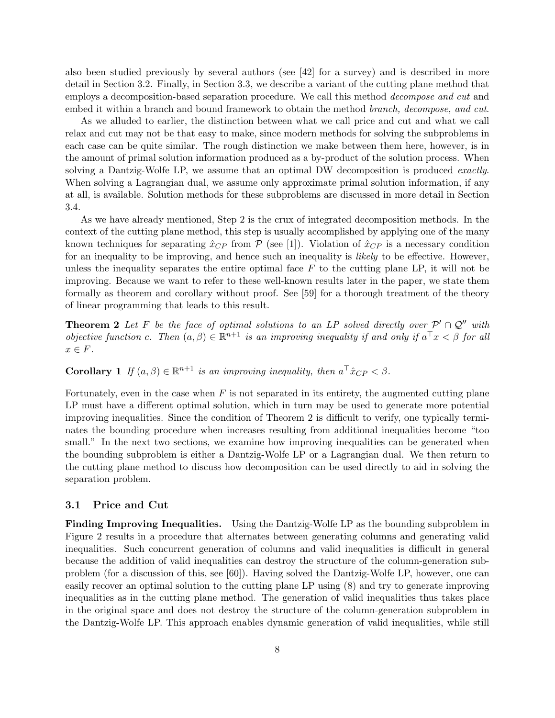also been studied previously by several authors (see [42] for a survey) and is described in more detail in Section 3.2. Finally, in Section 3.3, we describe a variant of the cutting plane method that employs a decomposition-based separation procedure. We call this method *decompose and cut* and embed it within a branch and bound framework to obtain the method *branch*, *decompose*, and cut.

As we alluded to earlier, the distinction between what we call price and cut and what we call relax and cut may not be that easy to make, since modern methods for solving the subproblems in each case can be quite similar. The rough distinction we make between them here, however, is in the amount of primal solution information produced as a by-product of the solution process. When solving a Dantzig-Wolfe LP, we assume that an optimal DW decomposition is produced *exactly*. When solving a Lagrangian dual, we assume only approximate primal solution information, if any at all, is available. Solution methods for these subproblems are discussed in more detail in Section 3.4.

As we have already mentioned, Step 2 is the crux of integrated decomposition methods. In the context of the cutting plane method, this step is usually accomplished by applying one of the many known techniques for separating  $\hat{x}_{CP}$  from  $\mathcal P$  (see [1]). Violation of  $\hat{x}_{CP}$  is a necessary condition for an inequality to be improving, and hence such an inequality is *likely* to be effective. However, unless the inequality separates the entire optimal face  $F$  to the cutting plane LP, it will not be improving. Because we want to refer to these well-known results later in the paper, we state them formally as theorem and corollary without proof. See [59] for a thorough treatment of the theory of linear programming that leads to this result.

**Theorem 2** Let F be the face of optimal solutions to an LP solved directly over  $\mathcal{P}' \cap \mathcal{Q}''$  with objective function c. Then  $(a, \beta) \in \mathbb{R}^{n+1}$  is an improving inequality if and only if  $a^{\top}x < \beta$  for all  $x \in F$ .

**Corollary 1** If  $(a, \beta) \in \mathbb{R}^{n+1}$  is an improving inequality, then  $a^{\top}\hat{x}_{CP} < \beta$ .

Fortunately, even in the case when  $F$  is not separated in its entirety, the augmented cutting plane LP must have a different optimal solution, which in turn may be used to generate more potential improving inequalities. Since the condition of Theorem 2 is difficult to verify, one typically terminates the bounding procedure when increases resulting from additional inequalities become "too small." In the next two sections, we examine how improving inequalities can be generated when the bounding subproblem is either a Dantzig-Wolfe LP or a Lagrangian dual. We then return to the cutting plane method to discuss how decomposition can be used directly to aid in solving the separation problem.

#### 3.1 Price and Cut

Finding Improving Inequalities. Using the Dantzig-Wolfe LP as the bounding subproblem in Figure 2 results in a procedure that alternates between generating columns and generating valid inequalities. Such concurrent generation of columns and valid inequalities is difficult in general because the addition of valid inequalities can destroy the structure of the column-generation subproblem (for a discussion of this, see [60]). Having solved the Dantzig-Wolfe LP, however, one can easily recover an optimal solution to the cutting plane LP using (8) and try to generate improving inequalities as in the cutting plane method. The generation of valid inequalities thus takes place in the original space and does not destroy the structure of the column-generation subproblem in the Dantzig-Wolfe LP. This approach enables dynamic generation of valid inequalities, while still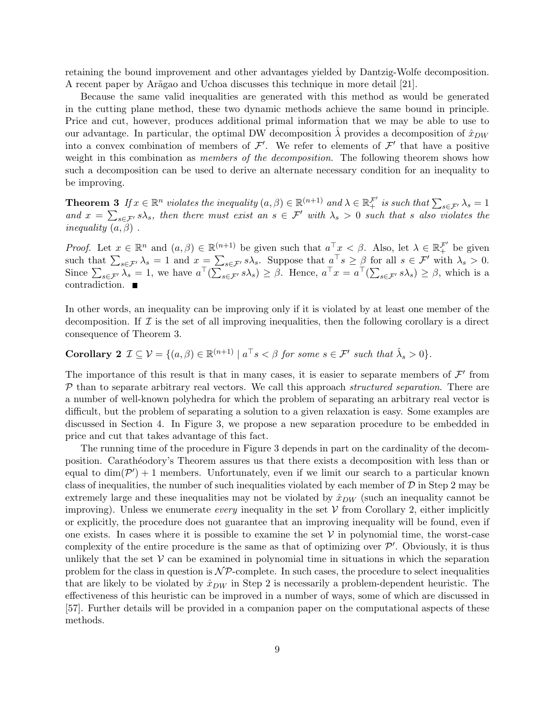retaining the bound improvement and other advantages yielded by Dantzig-Wolfe decomposition. A recent paper by Arãgao and Uchoa discusses this technique in more detail [21].

Because the same valid inequalities are generated with this method as would be generated in the cutting plane method, these two dynamic methods achieve the same bound in principle. Price and cut, however, produces additional primal information that we may be able to use to our advantage. In particular, the optimal DW decomposition  $\lambda$  provides a decomposition of  $\hat{x}_{DW}$ into a convex combination of members of  $\mathcal{F}'$ . We refer to elements of  $\mathcal{F}'$  that have a positive weight in this combination as *members of the decomposition*. The following theorem shows how such a decomposition can be used to derive an alternate necessary condition for an inequality to be improving.

**Theorem 3** If  $x \in \mathbb{R}^n$  violates the inequality  $(a, \beta) \in \mathbb{R}^{(n+1)}$  and  $\lambda \in \mathbb{R}^{\mathcal{F}'}_+$  is such that  $\sum_{s \in \mathcal{F}'} \lambda_s = 1$ and  $x = \sum_{s \in \mathcal{F}} s\lambda_s$ , then there must exist an  $s \in \mathcal{F}'$  with  $\lambda_s > 0$  such that s also violates the *inequality*  $(a, \beta)$ .

*Proof.* Let  $x \in \mathbb{R}^n$  and  $(a, \beta) \in \mathbb{R}^{(n+1)}$  be given such that  $a^{\top} x < \beta$ . Also, let  $\lambda \in \mathbb{R}^{\mathcal{F}'}_+$  be given such that  $\sum_{s\in\mathcal{F}'}\lambda_s = 1$  and  $x = \sum_{s\in\mathcal{F}'}s\lambda_s$ . Suppose that  $a^{\top}s \geq \beta$  for all  $s \in \mathcal{F}'$  with  $\lambda_s > 0$ . Since  $\sum_{s \in \mathcal{F}'} \widetilde{\lambda_s} = 1$ , we have  $a^{\top}(\sum_{s \in \mathcal{F}'} s\lambda_s) \geq \beta$ . Hence,  $a^{\top}x = a^{\top}(\sum_{s \in \mathcal{F}'} s\lambda_s) \geq \beta$ , which is a contradiction.

In other words, an inequality can be improving only if it is violated by at least one member of the decomposition. If  $\mathcal I$  is the set of all improving inequalities, then the following corollary is a direct consequence of Theorem 3.

## **Corollary 2**  $\mathcal{I} \subseteq \mathcal{V} = \{ (a, \beta) \in \mathbb{R}^{(n+1)} \mid a^{\top} s < \beta \text{ for some } s \in \mathcal{F}' \text{ such that } \hat{\lambda}_s > 0 \}.$

The importance of this result is that in many cases, it is easier to separate members of  $\mathcal{F}'$  from  $P$  than to separate arbitrary real vectors. We call this approach *structured separation*. There are a number of well-known polyhedra for which the problem of separating an arbitrary real vector is difficult, but the problem of separating a solution to a given relaxation is easy. Some examples are discussed in Section 4. In Figure 3, we propose a new separation procedure to be embedded in price and cut that takes advantage of this fact.

The running time of the procedure in Figure 3 depends in part on the cardinality of the decomposition. Carath´eodory's Theorem assures us that there exists a decomposition with less than or equal to  $\dim(\mathcal{P}') + 1$  members. Unfortunately, even if we limit our search to a particular known class of inequalities, the number of such inequalities violated by each member of  $\mathcal D$  in Step 2 may be extremely large and these inequalities may not be violated by  $\hat{x}_{DW}$  (such an inequality cannot be improving). Unless we enumerate *every* inequality in the set  $V$  from Corollary 2, either implicitly or explicitly, the procedure does not guarantee that an improving inequality will be found, even if one exists. In cases where it is possible to examine the set  $V$  in polynomial time, the worst-case complexity of the entire procedure is the same as that of optimizing over  $\mathcal{P}'$ . Obviously, it is thus unlikely that the set  $\mathcal V$  can be examined in polynomial time in situations in which the separation problem for the class in question is  $\mathcal{NP}$ -complete. In such cases, the procedure to select inequalities that are likely to be violated by  $\hat{x}_{DW}$  in Step 2 is necessarily a problem-dependent heuristic. The effectiveness of this heuristic can be improved in a number of ways, some of which are discussed in [57]. Further details will be provided in a companion paper on the computational aspects of these methods.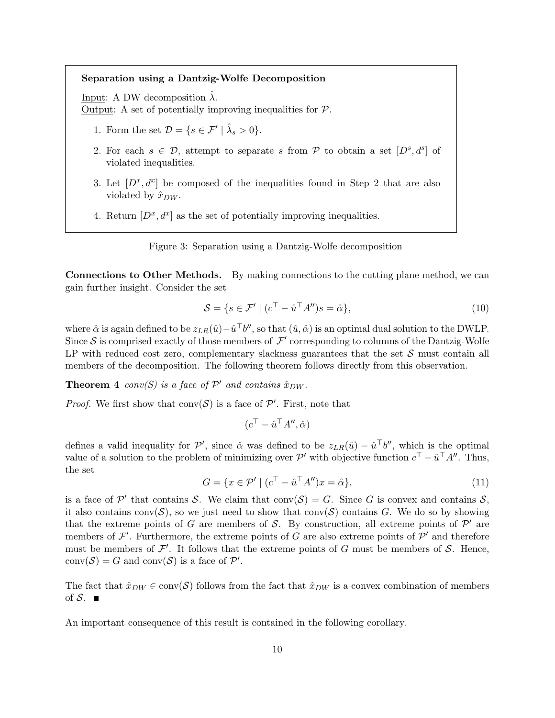#### Separation using a Dantzig-Wolfe Decomposition

Input: A DW decomposition  $\lambda$ .

Output: A set of potentially improving inequalities for  $P$ .

- 1. Form the set  $\mathcal{D} = \{s \in \mathcal{F}' \mid \hat{\lambda}_s > 0\}.$
- 2. For each  $s \in \mathcal{D}$ , attempt to separate s from  $\mathcal P$  to obtain a set  $[D^s, d^s]$  of violated inequalities.
- 3. Let  $[D^x, d^x]$  be composed of the inequalities found in Step 2 that are also violated by  $\hat{x}_{DW}$ .
- 4. Return  $[D^x, d^x]$  as the set of potentially improving inequalities.



Connections to Other Methods. By making connections to the cutting plane method, we can gain further insight. Consider the set

$$
\mathcal{S} = \{ s \in \mathcal{F}' \mid (c^{\top} - \hat{u}^{\top} A'')s = \hat{\alpha} \},\tag{10}
$$

where  $\hat{\alpha}$  is again defined to be  $z_{LR}(\hat{u}) - \hat{u}^\top b''$ , so that  $(\hat{u}, \hat{\alpha})$  is an optimal dual solution to the DWLP. Since S is comprised exactly of those members of  $\mathcal{F}'$  corresponding to columns of the Dantzig-Wolfe LP with reduced cost zero, complementary slackness guarantees that the set  $\mathcal S$  must contain all members of the decomposition. The following theorem follows directly from this observation.

**Theorem 4** conv(S) is a face of  $\mathcal{P}'$  and contains  $\hat{x}_{DW}$ .

*Proof.* We first show that  $conv(S)$  is a face of  $\mathcal{P}'$ . First, note that

$$
(c^{\top} - \hat{u}^{\top} A'', \hat{\alpha})
$$

defines a valid inequality for  $\mathcal{P}'$ , since  $\hat{\alpha}$  was defined to be  $z_{LR}(\hat{u}) - \hat{u}^\top b''$ , which is the optimal value of a solution to the problem of minimizing over  $\mathcal{P}'$  with objective function  $c^{\top} - \hat{u}^{\top} A''$ . Thus, the set

$$
G = \{ x \in \mathcal{P}' \mid (c^{\top} - \hat{u}^{\top} A'')x = \hat{\alpha} \},\tag{11}
$$

is a face of P' that contains S. We claim that  $conv(S) = G$ . Since G is convex and contains S, it also contains conv $(\mathcal{S})$ , so we just need to show that conv $(\mathcal{S})$  contains G. We do so by showing that the extreme points of G are members of S. By construction, all extreme points of  $\mathcal{P}'$  are members of  $\mathcal{F}'$ . Furthermore, the extreme points of G are also extreme points of  $\mathcal{P}'$  and therefore must be members of  $\mathcal{F}'$ . It follows that the extreme points of G must be members of S. Hence,  $conv(\mathcal{S}) = G$  and  $conv(\mathcal{S})$  is a face of  $\mathcal{P}'$ .

The fact that  $\hat{x}_{DW} \in \text{conv}(\mathcal{S})$  follows from the fact that  $\hat{x}_{DW}$  is a convex combination of members of  $S$ .

An important consequence of this result is contained in the following corollary.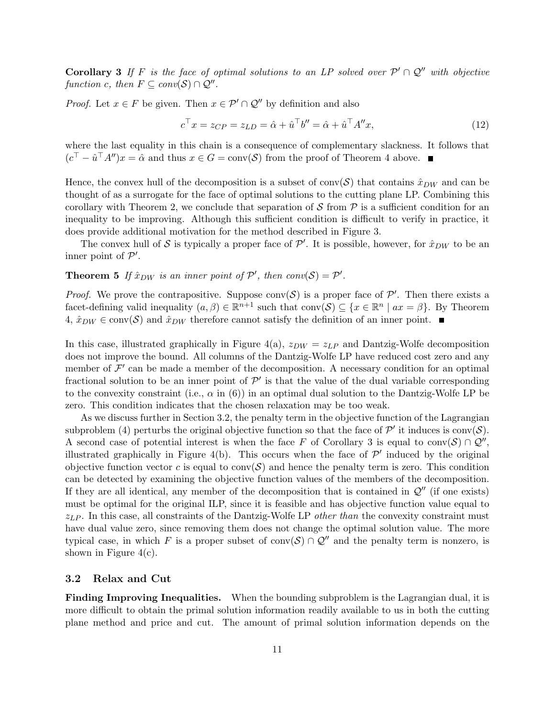**Corollary 3** If F is the face of optimal solutions to an LP solved over  $\mathcal{P}' \cap \mathcal{Q}''$  with objective function c, then  $F \subseteq conv(\mathcal{S}) \cap \mathcal{Q}''$ .

*Proof.* Let  $x \in F$  be given. Then  $x \in \mathcal{P}' \cap \mathcal{Q}''$  by definition and also

$$
c^{\top}x = z_{CP} = z_{LD} = \hat{\alpha} + \hat{u}^{\top}b'' = \hat{\alpha} + \hat{u}^{\top}A''x,
$$
\n(12)

where the last equality in this chain is a consequence of complementary slackness. It follows that  $(c^{\top} - \hat{u}^{\top} A'')x = \hat{\alpha}$  and thus  $x \in G = \text{conv}(\mathcal{S})$  from the proof of Theorem 4 above.

Hence, the convex hull of the decomposition is a subset of conv(S) that contains  $\hat{x}_{DW}$  and can be thought of as a surrogate for the face of optimal solutions to the cutting plane LP. Combining this corollary with Theorem 2, we conclude that separation of  $S$  from  $P$  is a sufficient condition for an inequality to be improving. Although this sufficient condition is difficult to verify in practice, it does provide additional motivation for the method described in Figure 3.

The convex hull of S is typically a proper face of  $\mathcal{P}'$ . It is possible, however, for  $\hat{x}_{DW}$  to be an inner point of  $\mathcal{P}'$ .

**Theorem 5** If  $\hat{x}_{DW}$  is an inner point of  $\mathcal{P}'$ , then  $conv(\mathcal{S}) = \mathcal{P}'$ .

*Proof.* We prove the contrapositive. Suppose conv $(S)$  is a proper face of  $\mathcal{P}'$ . Then there exists a facet-defining valid inequality  $(a, \beta) \in \mathbb{R}^{n+1}$  such that  $\text{conv}(\mathcal{S}) \subseteq \{x \in \mathbb{R}^n \mid ax = \beta\}$ . By Theorem  $4, \hat{x}_{DW} \in \text{conv}(\mathcal{S})$  and  $\hat{x}_{DW}$  therefore cannot satisfy the definition of an inner point.

In this case, illustrated graphically in Figure 4(a),  $z_{DW} = z_{LP}$  and Dantzig-Wolfe decomposition does not improve the bound. All columns of the Dantzig-Wolfe LP have reduced cost zero and any member of  $\mathcal{F}'$  can be made a member of the decomposition. A necessary condition for an optimal fractional solution to be an inner point of  $\mathcal{P}'$  is that the value of the dual variable corresponding to the convexity constraint (i.e.,  $\alpha$  in (6)) in an optimal dual solution to the Dantzig-Wolfe LP be zero. This condition indicates that the chosen relaxation may be too weak.

As we discuss further in Section 3.2, the penalty term in the objective function of the Lagrangian subproblem (4) perturbs the original objective function so that the face of  $\mathcal{P}'$  it induces is conv $(\mathcal{S})$ . A second case of potential interest is when the face F of Corollary 3 is equal to  $\text{conv}(S) \cap \mathcal{Q}''$ , illustrated graphically in Figure 4(b). This occurs when the face of  $\mathcal{P}'$  induced by the original objective function vector c is equal to  $conv(S)$  and hence the penalty term is zero. This condition can be detected by examining the objective function values of the members of the decomposition. If they are all identical, any member of the decomposition that is contained in  $\mathcal{Q}''$  (if one exists) must be optimal for the original ILP, since it is feasible and has objective function value equal to  $z_{LP}$ . In this case, all constraints of the Dantzig-Wolfe LP *other than* the convexity constraint must have dual value zero, since removing them does not change the optimal solution value. The more typical case, in which F is a proper subset of conv $(S) \cap \mathcal{Q}''$  and the penalty term is nonzero, is shown in Figure  $4(c)$ .

#### 3.2 Relax and Cut

Finding Improving Inequalities. When the bounding subproblem is the Lagrangian dual, it is more difficult to obtain the primal solution information readily available to us in both the cutting plane method and price and cut. The amount of primal solution information depends on the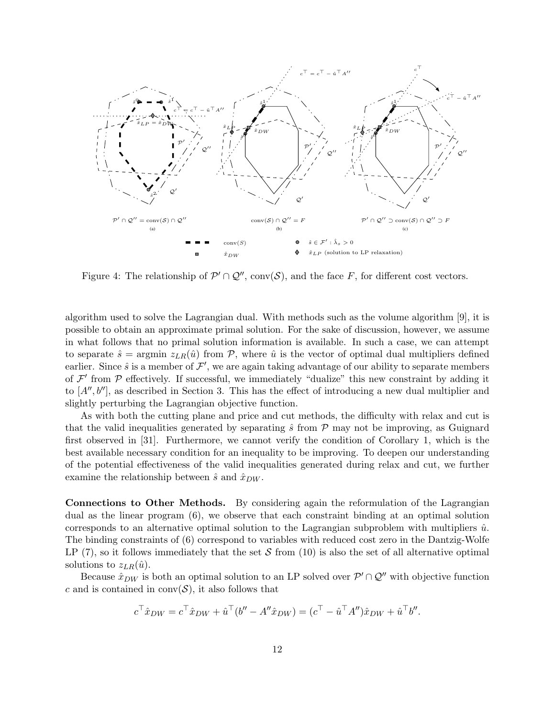

Figure 4: The relationship of  $\mathcal{P}' \cap \mathcal{Q}''$ , conv $(\mathcal{S})$ , and the face F, for different cost vectors.

algorithm used to solve the Lagrangian dual. With methods such as the volume algorithm [9], it is possible to obtain an approximate primal solution. For the sake of discussion, however, we assume in what follows that no primal solution information is available. In such a case, we can attempt to separate  $\hat{s} = \text{argmin } z_{LR}(\hat{u})$  from P, where  $\hat{u}$  is the vector of optimal dual multipliers defined earlier. Since  $\hat{s}$  is a member of  $\mathcal{F}',$  we are again taking advantage of our ability to separate members of  $\mathcal{F}'$  from  $\mathcal P$  effectively. If successful, we immediately "dualize" this new constraint by adding it to  $[A'', b'']$ , as described in Section 3. This has the effect of introducing a new dual multiplier and slightly perturbing the Lagrangian objective function.

As with both the cutting plane and price and cut methods, the difficulty with relax and cut is that the valid inequalities generated by separating  $\hat{s}$  from  $\mathcal P$  may not be improving, as Guignard first observed in [31]. Furthermore, we cannot verify the condition of Corollary 1, which is the best available necessary condition for an inequality to be improving. To deepen our understanding of the potential effectiveness of the valid inequalities generated during relax and cut, we further examine the relationship between  $\hat{s}$  and  $\hat{x}_{DW}$ .

Connections to Other Methods. By considering again the reformulation of the Lagrangian dual as the linear program (6), we observe that each constraint binding at an optimal solution corresponds to an alternative optimal solution to the Lagrangian subproblem with multipliers  $\hat{u}$ . The binding constraints of (6) correspond to variables with reduced cost zero in the Dantzig-Wolfe LP (7), so it follows immediately that the set S from (10) is also the set of all alternative optimal solutions to  $z_{LR}(\hat{u})$ .

Because  $\hat{x}_{DW}$  is both an optimal solution to an LP solved over  $\mathcal{P}' \cap \mathcal{Q}''$  with objective function c and is contained in  $conv(S)$ , it also follows that

$$
c^{\top}\hat{x}_{DW} = c^{\top}\hat{x}_{DW} + \hat{u}^{\top}(b'' - A''\hat{x}_{DW}) = (c^{\top} - \hat{u}^{\top}A'')\hat{x}_{DW} + \hat{u}^{\top}b''.
$$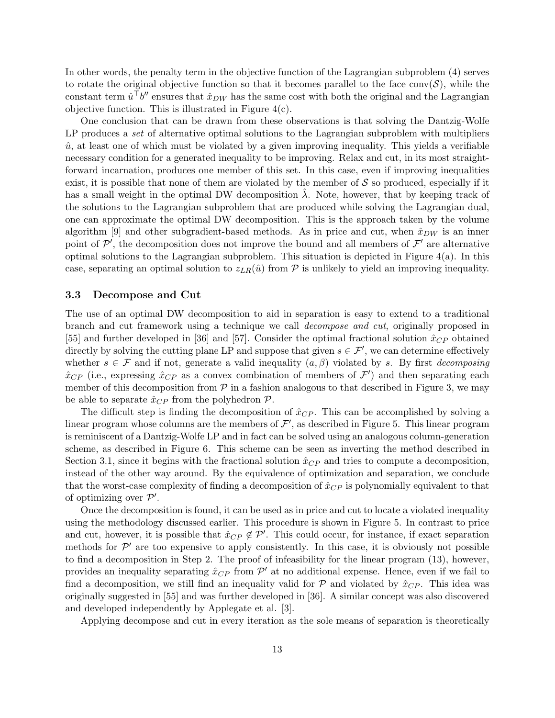In other words, the penalty term in the objective function of the Lagrangian subproblem (4) serves to rotate the original objective function so that it becomes parallel to the face conv $(\mathcal{S})$ , while the constant term  $\hat{u}^{\top}b''$  ensures that  $\hat{x}_{DW}$  has the same cost with both the original and the Lagrangian objective function. This is illustrated in Figure 4(c).

One conclusion that can be drawn from these observations is that solving the Dantzig-Wolfe LP produces a set of alternative optimal solutions to the Lagrangian subproblem with multipliers  $\hat{u}$ , at least one of which must be violated by a given improving inequality. This yields a verifiable necessary condition for a generated inequality to be improving. Relax and cut, in its most straightforward incarnation, produces one member of this set. In this case, even if improving inequalities exist, it is possible that none of them are violated by the member of  $S$  so produced, especially if it has a small weight in the optimal DW decomposition  $\lambda$ . Note, however, that by keeping track of the solutions to the Lagrangian subproblem that are produced while solving the Lagrangian dual, one can approximate the optimal DW decomposition. This is the approach taken by the volume algorithm [9] and other subgradient-based methods. As in price and cut, when  $\hat{x}_{DW}$  is an inner point of  $\mathcal{P}'$ , the decomposition does not improve the bound and all members of  $\mathcal{F}'$  are alternative optimal solutions to the Lagrangian subproblem. This situation is depicted in Figure 4(a). In this case, separating an optimal solution to  $z_{LR}(\hat{u})$  from P is unlikely to yield an improving inequality.

#### 3.3 Decompose and Cut

The use of an optimal DW decomposition to aid in separation is easy to extend to a traditional branch and cut framework using a technique we call decompose and cut, originally proposed in [55] and further developed in [36] and [57]. Consider the optimal fractional solution  $\hat{x}_{CP}$  obtained directly by solving the cutting plane LP and suppose that given  $s \in \mathcal{F}'$ , we can determine effectively whether  $s \in \mathcal{F}$  and if not, generate a valid inequality  $(a, \beta)$  violated by s. By first *decomposing*  $\hat{x}_{CP}$  (i.e., expressing  $\hat{x}_{CP}$  as a convex combination of members of  $\mathcal{F}'$ ) and then separating each member of this decomposition from  $\mathcal P$  in a fashion analogous to that described in Figure 3, we may be able to separate  $\hat{x}_{CP}$  from the polyhedron  $\mathcal{P}$ .

The difficult step is finding the decomposition of  $\hat{x}_{CP}$ . This can be accomplished by solving a linear program whose columns are the members of  $\mathcal{F}',$  as described in Figure 5. This linear program is reminiscent of a Dantzig-Wolfe LP and in fact can be solved using an analogous column-generation scheme, as described in Figure 6. This scheme can be seen as inverting the method described in Section 3.1, since it begins with the fractional solution  $\hat{x}_{CP}$  and tries to compute a decomposition, instead of the other way around. By the equivalence of optimization and separation, we conclude that the worst-case complexity of finding a decomposition of  $\hat{x}_{CP}$  is polynomially equivalent to that of optimizing over  $\mathcal{P}'$ .

Once the decomposition is found, it can be used as in price and cut to locate a violated inequality using the methodology discussed earlier. This procedure is shown in Figure 5. In contrast to price and cut, however, it is possible that  $\hat{x}_{CP} \notin \mathcal{P}'$ . This could occur, for instance, if exact separation methods for  $\mathcal{P}'$  are too expensive to apply consistently. In this case, it is obviously not possible to find a decomposition in Step 2. The proof of infeasibility for the linear program (13), however, provides an inequality separating  $\hat{x}_{CP}$  from  $\mathcal{P}'$  at no additional expense. Hence, even if we fail to find a decomposition, we still find an inequality valid for  $P$  and violated by  $\hat{x}_{CP}$ . This idea was originally suggested in [55] and was further developed in [36]. A similar concept was also discovered and developed independently by Applegate et al. [3].

Applying decompose and cut in every iteration as the sole means of separation is theoretically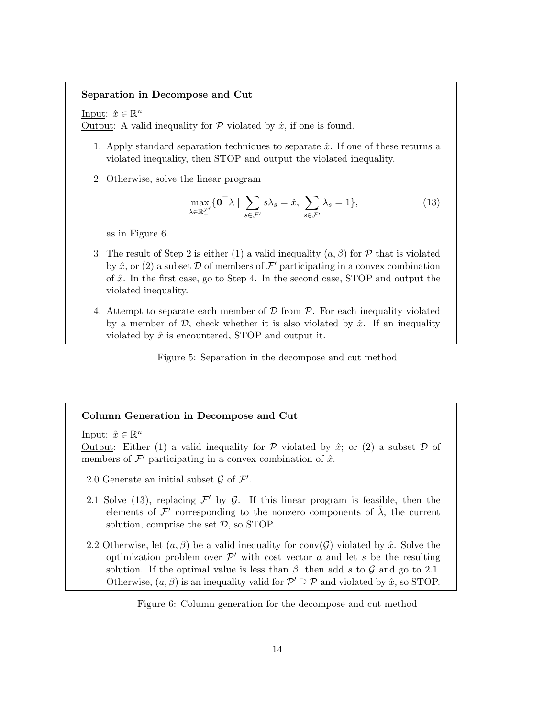#### Separation in Decompose and Cut

Input:  $\hat{x} \in \mathbb{R}^n$ 

Output: A valid inequality for  $P$  violated by  $\hat{x}$ , if one is found.

- 1. Apply standard separation techniques to separate  $\hat{x}$ . If one of these returns a violated inequality, then STOP and output the violated inequality.
- 2. Otherwise, solve the linear program

$$
\max_{\lambda \in \mathbb{R}_+^{\mathcal{F}'}} \{ \mathbf{0}^\top \lambda \mid \sum_{s \in \mathcal{F}'} s\lambda_s = \hat{x}, \sum_{s \in \mathcal{F}'} \lambda_s = 1 \},\tag{13}
$$

as in Figure 6.

- 3. The result of Step 2 is either (1) a valid inequality  $(a, \beta)$  for P that is violated by  $\hat{x}$ , or (2) a subset  $\hat{D}$  of members of  $\mathcal{F}'$  participating in a convex combination of  $\hat{x}$ . In the first case, go to Step 4. In the second case, STOP and output the violated inequality.
- 4. Attempt to separate each member of  $\mathcal D$  from  $\mathcal P$ . For each inequality violated by a member of  $\mathcal{D}$ , check whether it is also violated by  $\hat{x}$ . If an inequality violated by  $\hat{x}$  is encountered, STOP and output it.

Figure 5: Separation in the decompose and cut method

#### Column Generation in Decompose and Cut

Input:  $\hat{x} \in \mathbb{R}^n$ 

Output: Either (1) a valid inequality for  $P$  violated by  $\hat{x}$ ; or (2) a subset  $D$  of members of  $\mathcal{F}'$  participating in a convex combination of  $\hat{x}$ .

- 2.0 Generate an initial subset  $\mathcal G$  of  $\mathcal F'.$
- 2.1 Solve (13), replacing  $\mathcal{F}'$  by  $\mathcal{G}$ . If this linear program is feasible, then the elements of  $\mathcal{F}'$  corresponding to the nonzero components of  $\hat{\lambda}$ , the current solution, comprise the set  $D$ , so STOP.
- 2.2 Otherwise, let  $(a, \beta)$  be a valid inequality for conv $(\mathcal{G})$  violated by  $\hat{x}$ . Solve the optimization problem over  $\mathcal{P}'$  with cost vector a and let s be the resulting solution. If the optimal value is less than  $\beta$ , then add s to  $\mathcal G$  and go to 2.1. Otherwise,  $(a, \beta)$  is an inequality valid for  $\mathcal{P}' \supseteq \mathcal{P}$  and violated by  $\hat{x}$ , so STOP.

Figure 6: Column generation for the decompose and cut method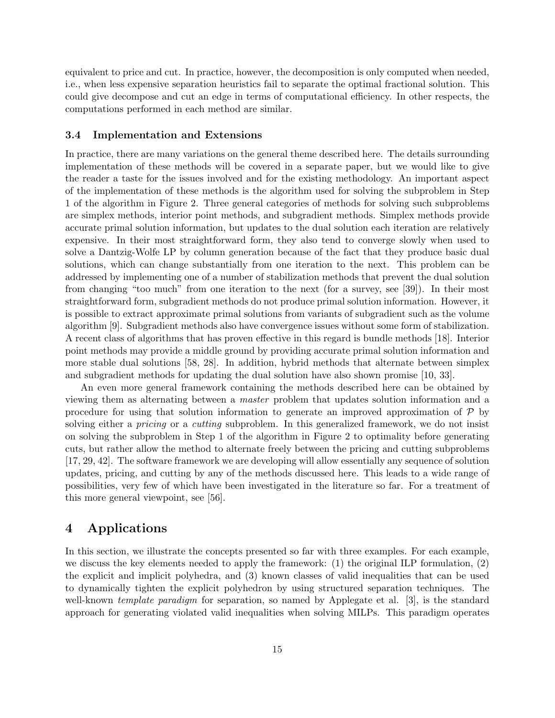equivalent to price and cut. In practice, however, the decomposition is only computed when needed, i.e., when less expensive separation heuristics fail to separate the optimal fractional solution. This could give decompose and cut an edge in terms of computational efficiency. In other respects, the computations performed in each method are similar.

#### 3.4 Implementation and Extensions

In practice, there are many variations on the general theme described here. The details surrounding implementation of these methods will be covered in a separate paper, but we would like to give the reader a taste for the issues involved and for the existing methodology. An important aspect of the implementation of these methods is the algorithm used for solving the subproblem in Step 1 of the algorithm in Figure 2. Three general categories of methods for solving such subproblems are simplex methods, interior point methods, and subgradient methods. Simplex methods provide accurate primal solution information, but updates to the dual solution each iteration are relatively expensive. In their most straightforward form, they also tend to converge slowly when used to solve a Dantzig-Wolfe LP by column generation because of the fact that they produce basic dual solutions, which can change substantially from one iteration to the next. This problem can be addressed by implementing one of a number of stabilization methods that prevent the dual solution from changing "too much" from one iteration to the next (for a survey, see [39]). In their most straightforward form, subgradient methods do not produce primal solution information. However, it is possible to extract approximate primal solutions from variants of subgradient such as the volume algorithm [9]. Subgradient methods also have convergence issues without some form of stabilization. A recent class of algorithms that has proven effective in this regard is bundle methods [18]. Interior point methods may provide a middle ground by providing accurate primal solution information and more stable dual solutions [58, 28]. In addition, hybrid methods that alternate between simplex and subgradient methods for updating the dual solution have also shown promise [10, 33].

An even more general framework containing the methods described here can be obtained by viewing them as alternating between a master problem that updates solution information and a procedure for using that solution information to generate an improved approximation of  $\mathcal{P}$  by solving either a *pricing* or a *cutting* subproblem. In this generalized framework, we do not insist on solving the subproblem in Step 1 of the algorithm in Figure 2 to optimality before generating cuts, but rather allow the method to alternate freely between the pricing and cutting subproblems [17, 29, 42]. The software framework we are developing will allow essentially any sequence of solution updates, pricing, and cutting by any of the methods discussed here. This leads to a wide range of possibilities, very few of which have been investigated in the literature so far. For a treatment of this more general viewpoint, see [56].

## 4 Applications

In this section, we illustrate the concepts presented so far with three examples. For each example, we discuss the key elements needed to apply the framework: (1) the original ILP formulation, (2) the explicit and implicit polyhedra, and (3) known classes of valid inequalities that can be used to dynamically tighten the explicit polyhedron by using structured separation techniques. The well-known *template paradigm* for separation, so named by Applegate et al. [3], is the standard approach for generating violated valid inequalities when solving MILPs. This paradigm operates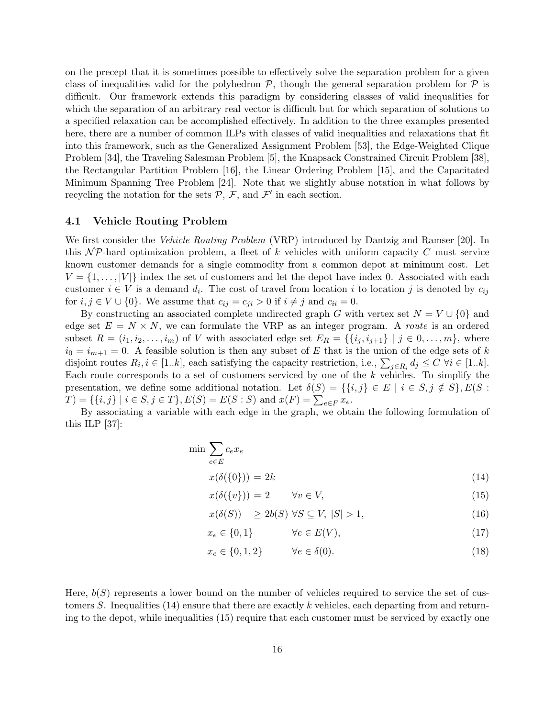on the precept that it is sometimes possible to effectively solve the separation problem for a given class of inequalities valid for the polyhedron  $P$ , though the general separation problem for  $P$  is difficult. Our framework extends this paradigm by considering classes of valid inequalities for which the separation of an arbitrary real vector is difficult but for which separation of solutions to a specified relaxation can be accomplished effectively. In addition to the three examples presented here, there are a number of common ILPs with classes of valid inequalities and relaxations that fit into this framework, such as the Generalized Assignment Problem [53], the Edge-Weighted Clique Problem [34], the Traveling Salesman Problem [5], the Knapsack Constrained Circuit Problem [38], the Rectangular Partition Problem [16], the Linear Ordering Problem [15], and the Capacitated Minimum Spanning Tree Problem [24]. Note that we slightly abuse notation in what follows by recycling the notation for the sets  $P$ ,  $\mathcal{F}$ , and  $\mathcal{F}'$  in each section.

#### 4.1 Vehicle Routing Problem

We first consider the *Vehicle Routing Problem* (VRP) introduced by Dantzig and Ramser [20]. In this  $\mathcal{NP}$ -hard optimization problem, a fleet of k vehicles with uniform capacity C must service known customer demands for a single commodity from a common depot at minimum cost. Let  $V = \{1, \ldots, |V|\}$  index the set of customers and let the depot have index 0. Associated with each customer  $i \in V$  is a demand  $d_i$ . The cost of travel from location i to location j is denoted by  $c_{ij}$ for  $i, j \in V \cup \{0\}$ . We assume that  $c_{ij} = c_{ji} > 0$  if  $i \neq j$  and  $c_{ii} = 0$ .

By constructing an associated complete undirected graph G with vertex set  $N = V \cup \{0\}$  and edge set  $E = N \times N$ , we can formulate the VRP as an integer program. A *route* is an ordered subset  $R = (i_1, i_2, \ldots, i_m)$  of V with associated edge set  $E_R = \{\{i_j, i_{j+1}\} \mid j \in 0, \ldots, m\}$ , where  $i_0 = i_{m+1} = 0$ . A feasible solution is then any subset of E that is the union of the edge sets of k disjoint routes  $R_i, i \in [1..k]$ , each satisfying the capacity restriction, i.e.,  $\sum_{j \in R_i} d_j \le C \ \forall i \in [1..k]$ . Each route corresponds to a set of customers serviced by one of the k vehicles. To simplify the presentation, we define some additional notation. Let  $\delta(S) = \{\{i,j\} \in E \mid i \in S, j \notin S\}, E(S = \{i,j\})$  $T$ ) = {{ $i, j$ } |  $i \in S, j \in T$ },  $E(S) = E(S : S)$  and  $x(F) = \sum_{e \in F} x_e$ .

By associating a variable with each edge in the graph, we obtain the following formulation of this ILP [37]:

$$
\min \sum_{e \in E} c_e x_e
$$
  

$$
x(\delta(\{0\})) = 2k
$$
 (14)

$$
x(\delta({v})) = 2 \qquad \forall v \in V,
$$
\n
$$
(15)
$$

$$
x(\delta(S)) \ge 2b(S) \ \forall S \subseteq V, \ |S| > 1,\tag{16}
$$

$$
x_e \in \{0, 1\} \qquad \forall e \in E(V), \tag{17}
$$

$$
x_e \in \{0, 1, 2\} \qquad \forall e \in \delta(0). \tag{18}
$$

Here,  $b(S)$  represents a lower bound on the number of vehicles required to service the set of customers S. Inequalities  $(14)$  ensure that there are exactly k vehicles, each departing from and returning to the depot, while inequalities (15) require that each customer must be serviced by exactly one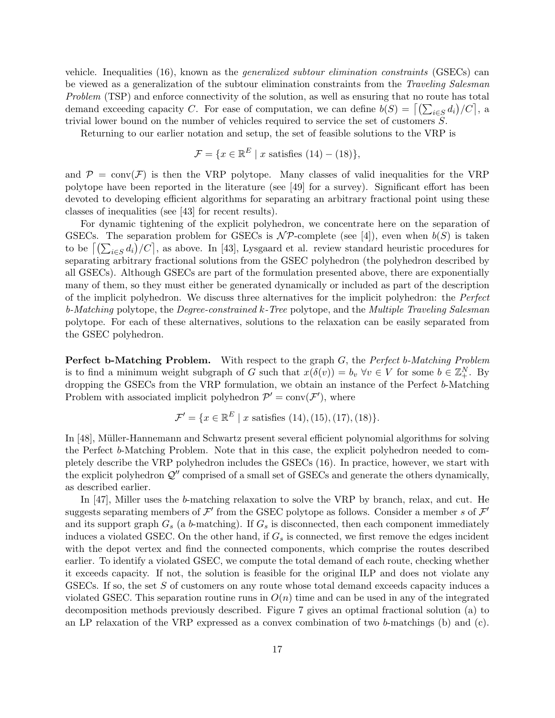vehicle. Inequalities (16), known as the generalized subtour elimination constraints (GSECs) can be viewed as a generalization of the subtour elimination constraints from the Traveling Salesman Problem (TSP) and enforce connectivity of the solution, as well as ensuring that no route has total demand exceeding capacity C. For ease of computation, we can define  $b(S) = \left[ \left( \sum_{i \in S} d_i \right) / C \right]$ , a trivial lower bound on the number of vehicles required to service the set of customers S.

Returning to our earlier notation and setup, the set of feasible solutions to the VRP is

$$
\mathcal{F} = \{ x \in \mathbb{R}^E \mid x \text{ satisfies } (14) - (18) \},
$$

and  $\mathcal{P} = \text{conv}(\mathcal{F})$  is then the VRP polytope. Many classes of valid inequalities for the VRP polytope have been reported in the literature (see [49] for a survey). Significant effort has been devoted to developing efficient algorithms for separating an arbitrary fractional point using these classes of inequalities (see [43] for recent results).

For dynamic tightening of the explicit polyhedron, we concentrate here on the separation of GSECs. The separation problem for GSECs is  $N\mathcal{P}$ -complete (see [4]), even when  $b(S)$  is taken to be  $\left[\left(\sum_{i\in S}d_i\right)/C\right]$ , as above. In [43], Lysgaard et al. review standard heuristic procedures for separating arbitrary fractional solutions from the GSEC polyhedron (the polyhedron described by all GSECs). Although GSECs are part of the formulation presented above, there are exponentially many of them, so they must either be generated dynamically or included as part of the description of the implicit polyhedron. We discuss three alternatives for the implicit polyhedron: the Perfect b-Matching polytope, the Degree-constrained k-Tree polytope, and the Multiple Traveling Salesman polytope. For each of these alternatives, solutions to the relaxation can be easily separated from the GSEC polyhedron.

Perfect b-Matching Problem. With respect to the graph G, the Perfect b-Matching Problem is to find a minimum weight subgraph of G such that  $x(\delta(v)) = b_v \,\forall v \in V$  for some  $b \in \mathbb{Z}_+^N$ . By dropping the GSECs from the VRP formulation, we obtain an instance of the Perfect b-Matching Problem with associated implicit polyhedron  $\mathcal{P}' = \text{conv}(\mathcal{F}')$ , where

$$
\mathcal{F}' = \{ x \in \mathbb{R}^E \mid x \text{ satisfies (14), (15), (17), (18)} \}.
$$

In [48], Müller-Hannemann and Schwartz present several efficient polynomial algorithms for solving the Perfect b-Matching Problem. Note that in this case, the explicit polyhedron needed to completely describe the VRP polyhedron includes the GSECs (16). In practice, however, we start with the explicit polyhedron  $\mathcal{Q}''$  comprised of a small set of GSECs and generate the others dynamically, as described earlier.

In [47], Miller uses the b-matching relaxation to solve the VRP by branch, relax, and cut. He suggests separating members of  $\mathcal{F}'$  from the GSEC polytope as follows. Consider a member s of  $\mathcal{F}'$ and its support graph  $G_s$  (a b-matching). If  $G_s$  is disconnected, then each component immediately induces a violated GSEC. On the other hand, if  $G_s$  is connected, we first remove the edges incident with the depot vertex and find the connected components, which comprise the routes described earlier. To identify a violated GSEC, we compute the total demand of each route, checking whether it exceeds capacity. If not, the solution is feasible for the original ILP and does not violate any GSECs. If so, the set S of customers on any route whose total demand exceeds capacity induces a violated GSEC. This separation routine runs in  $O(n)$  time and can be used in any of the integrated decomposition methods previously described. Figure 7 gives an optimal fractional solution (a) to an LP relaxation of the VRP expressed as a convex combination of two b-matchings (b) and (c).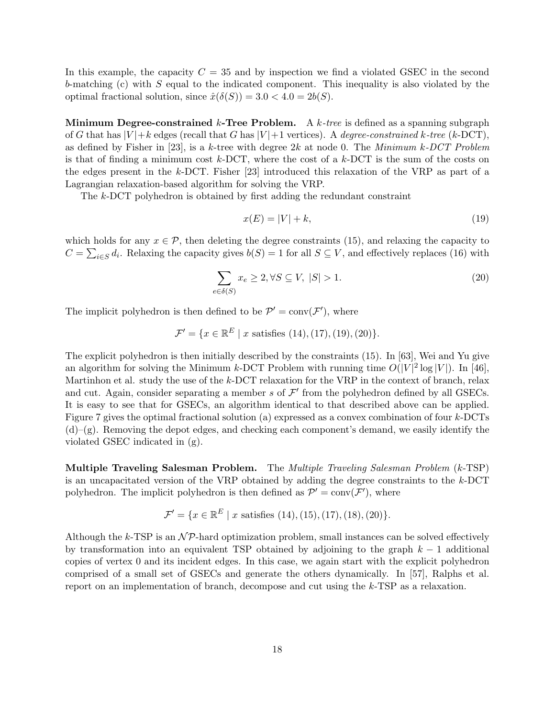In this example, the capacity  $C = 35$  and by inspection we find a violated GSEC in the second b-matching (c) with  $S$  equal to the indicated component. This inequality is also violated by the optimal fractional solution, since  $\hat{x}(\delta(S)) = 3.0 < 4.0 = 2b(S)$ .

**Minimum Degree-constrained k-Tree Problem.** A k-tree is defined as a spanning subgraph of G that has  $|V|+k$  edges (recall that G has  $|V|+1$  vertices). A degree-constrained k-tree (k-DCT), as defined by Fisher in [23], is a k-tree with degree 2k at node 0. The Minimum k-DCT Problem is that of finding a minimum cost  $k$ -DCT, where the cost of a  $k$ -DCT is the sum of the costs on the edges present in the k-DCT. Fisher [23] introduced this relaxation of the VRP as part of a Lagrangian relaxation-based algorithm for solving the VRP.

The k-DCT polyhedron is obtained by first adding the redundant constraint

$$
x(E) = |V| + k,\tag{19}
$$

which holds for any  $x \in \mathcal{P}$ , then deleting the degree constraints (15), and relaxing the capacity to  $C = \sum_{i \in S} d_i$ . Relaxing the capacity gives  $b(S) = 1$  for all  $S \subseteq V$ , and effectively replaces (16) with

$$
\sum_{e \in \delta(S)} x_e \ge 2, \forall S \subseteq V, |S| > 1.
$$
\n
$$
(20)
$$

The implicit polyhedron is then defined to be  $\mathcal{P}' = \text{conv}(\mathcal{F}')$ , where

$$
\mathcal{F}' = \{ x \in \mathbb{R}^E \mid x \text{ satisfies (14), (17), (19), (20)} \}.
$$

The explicit polyhedron is then initially described by the constraints (15). In [63], Wei and Yu give an algorithm for solving the Minimum k-DCT Problem with running time  $O(|V|^2 \log |V|)$ . In [46], Martinhon et al. study the use of the  $k$ -DCT relaxation for the VRP in the context of branch, relax and cut. Again, consider separating a member s of  $\mathcal{F}'$  from the polyhedron defined by all GSECs. It is easy to see that for GSECs, an algorithm identical to that described above can be applied. Figure 7 gives the optimal fractional solution (a) expressed as a convex combination of four k-DCTs  $(d)$ –(g). Removing the depot edges, and checking each component's demand, we easily identify the violated GSEC indicated in (g).

Multiple Traveling Salesman Problem. The Multiple Traveling Salesman Problem (k-TSP) is an uncapacitated version of the VRP obtained by adding the degree constraints to the k-DCT polyhedron. The implicit polyhedron is then defined as  $\mathcal{P}' = \text{conv}(\mathcal{F}')$ , where

$$
\mathcal{F}' = \{ x \in \mathbb{R}^E \mid x \text{ satisfies (14), (15), (17), (18), (20)} \}.
$$

Although the k-TSP is an  $N\mathcal{P}$ -hard optimization problem, small instances can be solved effectively by transformation into an equivalent TSP obtained by adjoining to the graph  $k-1$  additional copies of vertex 0 and its incident edges. In this case, we again start with the explicit polyhedron comprised of a small set of GSECs and generate the others dynamically. In [57], Ralphs et al. report on an implementation of branch, decompose and cut using the k-TSP as a relaxation.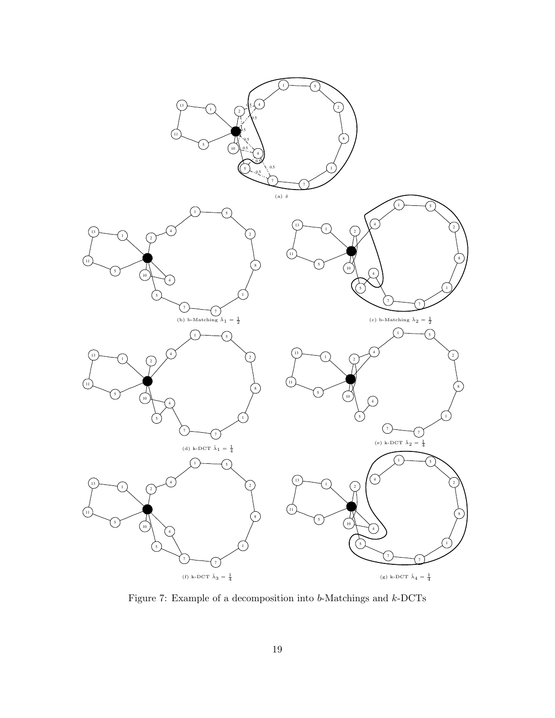

Figure 7: Example of a decomposition into  $b\text{-} {\rm Matchings}$  and  $k\text{-} {\rm DCTs}$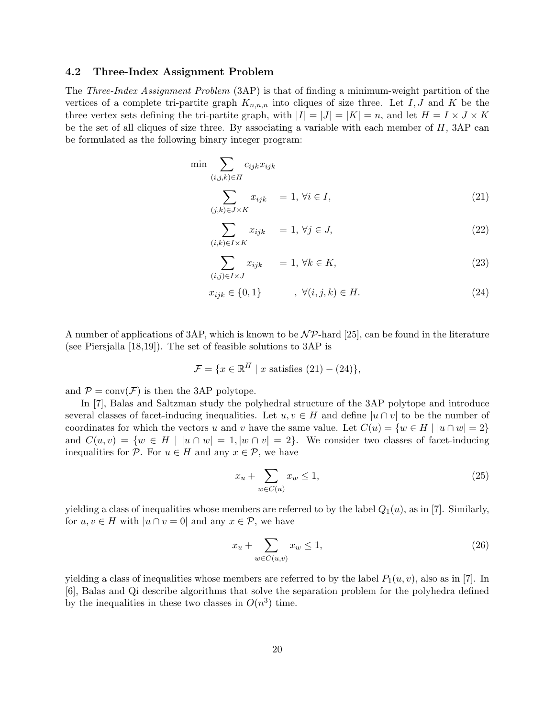#### 4.2 Three-Index Assignment Problem

The *Three-Index Assignment Problem* (3AP) is that of finding a minimum-weight partition of the vertices of a complete tri-partite graph  $K_{n,n,n}$  into cliques of size three. Let I, J and K be the three vertex sets defining the tri-partite graph, with  $|I| = |J| = |K| = n$ , and let  $H = I \times J \times K$ be the set of all cliques of size three. By associating a variable with each member of  $H$ , 3AP can be formulated as the following binary integer program:

$$
\min \sum_{(i,j,k)\in H} c_{ijk} x_{ijk}
$$
\n
$$
\sum_{(j,k)\in J\times K} x_{ijk} = 1, \forall i \in I,
$$
\n(21)

$$
\sum_{(i,k)\in I\times K} x_{ijk} = 1, \forall j \in J,
$$
\n(22)

$$
\sum_{(i,j)\in I\times J} x_{ijk} = 1, \forall k \in K,
$$
\n(23)

$$
x_{ijk} \in \{0, 1\} \qquad , \ \forall (i, j, k) \in H. \tag{24}
$$

A number of applications of 3AP, which is known to be  $N\mathcal{P}$ -hard [25], can be found in the literature (see Piersjalla [18,19]). The set of feasible solutions to 3AP is

$$
\mathcal{F} = \{x \in \mathbb{R}^H \mid x \text{ satisfies (21)} - (24)\},\
$$

and  $P = \text{conv}(\mathcal{F})$  is then the 3AP polytope.

In [7], Balas and Saltzman study the polyhedral structure of the 3AP polytope and introduce several classes of facet-inducing inequalities. Let  $u, v \in H$  and define  $|u \cap v|$  to be the number of coordinates for which the vectors u and v have the same value. Let  $C(u) = \{w \in H \mid |u \cap w| = 2\}$ and  $C(u, v) = \{w \in H \mid |u \cap w| = 1, |w \cap v| = 2\}$ . We consider two classes of facet-inducing inequalities for P. For  $u \in H$  and any  $x \in \mathcal{P}$ , we have

$$
x_u + \sum_{w \in C(u)} x_w \le 1,\tag{25}
$$

yielding a class of inequalities whose members are referred to by the label  $Q_1(u)$ , as in [7]. Similarly, for  $u, v \in H$  with  $|u \cap v = 0|$  and any  $x \in \mathcal{P}$ , we have

$$
x_u + \sum_{w \in C(u,v)} x_w \le 1,\tag{26}
$$

yielding a class of inequalities whose members are referred to by the label  $P_1(u, v)$ , also as in [7]. In [6], Balas and Qi describe algorithms that solve the separation problem for the polyhedra defined by the inequalities in these two classes in  $O(n^3)$  time.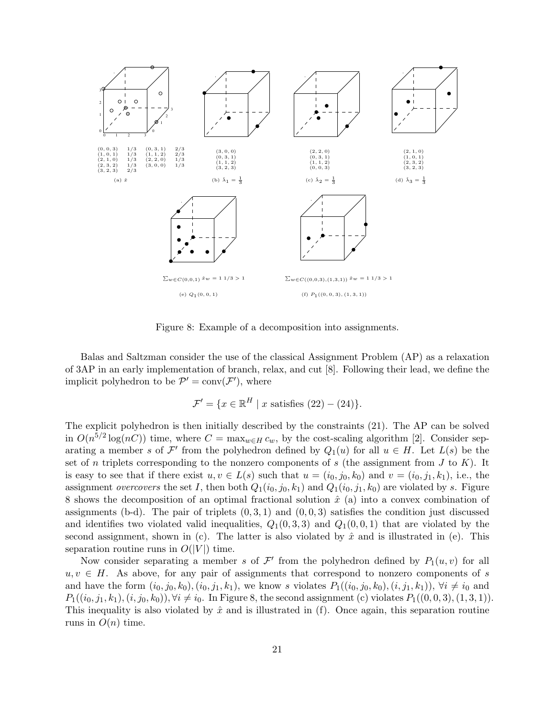

Figure 8: Example of a decomposition into assignments.

Balas and Saltzman consider the use of the classical Assignment Problem (AP) as a relaxation of 3AP in an early implementation of branch, relax, and cut [8]. Following their lead, we define the implicit polyhedron to be  $\mathcal{P}' = \text{conv}(\mathcal{F}')$ , where

$$
\mathcal{F}' = \{ x \in \mathbb{R}^H \mid x \text{ satisfies (22)} - (24) \}.
$$

The explicit polyhedron is then initially described by the constraints (21). The AP can be solved in  $O(n^{5/2} \log(nC))$  time, where  $C = \max_{w \in H} c_w$ , by the cost-scaling algorithm [2]. Consider separating a member s of  $\mathcal{F}'$  from the polyhedron defined by  $Q_1(u)$  for all  $u \in H$ . Let  $L(s)$  be the set of n triplets corresponding to the nonzero components of s (the assignment from  $J$  to  $K$ ). It is easy to see that if there exist  $u, v \in L(s)$  such that  $u = (i_0, j_0, k_0)$  and  $v = (i_0, j_1, k_1)$ , i.e., the assignment overcovers the set I, then both  $Q_1(i_0, j_0, k_1)$  and  $Q_1(i_0, j_1, k_0)$  are violated by s. Figure 8 shows the decomposition of an optimal fractional solution  $\hat{x}$  (a) into a convex combination of assignments (b-d). The pair of triplets  $(0,3,1)$  and  $(0,0,3)$  satisfies the condition just discussed and identifies two violated valid inequalities,  $Q_1(0,3,3)$  and  $Q_1(0,0,1)$  that are violated by the second assignment, shown in (c). The latter is also violated by  $\hat{x}$  and is illustrated in (e). This separation routine runs in  $O(|V|)$  time.

Now consider separating a member s of  $\mathcal{F}'$  from the polyhedron defined by  $P_1(u, v)$  for all  $u, v \in H$ . As above, for any pair of assignments that correspond to nonzero components of s and have the form  $(i_0, j_0, k_0), (i_0, j_1, k_1)$ , we know s violates  $P_1((i_0, j_0, k_0), (i, j_1, k_1))$ ,  $\forall i \neq i_0$  and  $P_1((i_0, j_1, k_1), (i, j_0, k_0)), \forall i \neq i_0$ . In Figure 8, the second assignment (c) violates  $P_1((0, 0, 3), (1, 3, 1)).$ This inequality is also violated by  $\hat{x}$  and is illustrated in (f). Once again, this separation routine runs in  $O(n)$  time.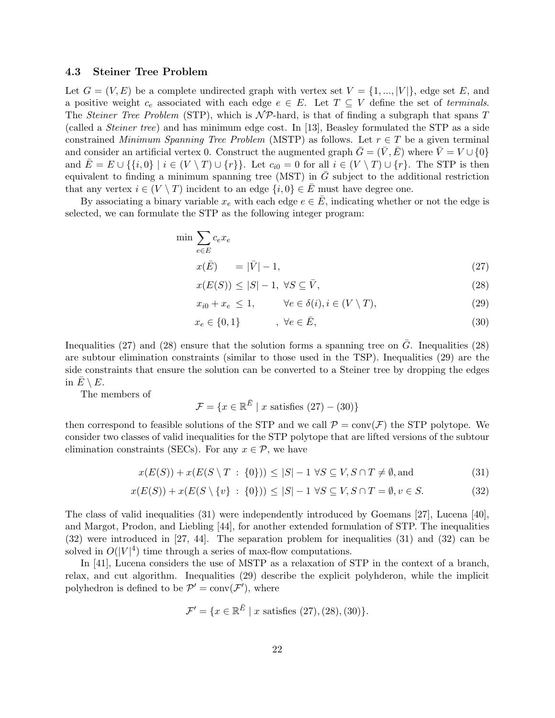#### 4.3 Steiner Tree Problem

Let  $G = (V, E)$  be a complete undirected graph with vertex set  $V = \{1, ..., |V|\}$ , edge set E, and a positive weight  $c_e$  associated with each edge  $e \in E$ . Let  $T \subseteq V$  define the set of terminals. The Steiner Tree Problem (STP), which is  $\mathcal{NP}$ -hard, is that of finding a subgraph that spans T (called a Steiner tree) and has minimum edge cost. In [13], Beasley formulated the STP as a side constrained Minimum Spanning Tree Problem (MSTP) as follows. Let  $r \in T$  be a given terminal and consider an artificial vertex 0. Construct the augmented graph  $\bar{G} = (\bar{V}, \bar{E})$  where  $\bar{V} = V \cup \{0\}$ and  $\overline{E} = E \cup \{\{i,0\} \mid i \in (V \setminus T) \cup \{r\}\}\$ . Let  $c_{i0} = 0$  for all  $i \in (V \setminus T) \cup \{r\}\$ . The STP is then equivalent to finding a minimum spanning tree (MST) in  $G$  subject to the additional restriction that any vertex  $i \in (V \setminus T)$  incident to an edge  $\{i, 0\} \in E$  must have degree one.

By associating a binary variable  $x_e$  with each edge  $e \in E$ , indicating whether or not the edge is selected, we can formulate the STP as the following integer program:

$$
\min \sum_{e \in E} c_e x_e
$$
  

$$
x(\bar{E}) = |\bar{V}| - 1,
$$
 (27)

$$
x(E(S)) \le |S| - 1, \ \forall S \subseteq \bar{V},\tag{28}
$$

$$
x_{i0} + x_e \le 1, \qquad \forall e \in \delta(i), i \in (V \setminus T), \tag{29}
$$

$$
x_e \in \{0, 1\} \qquad , \ \forall e \in \bar{E}, \tag{30}
$$

Inequalities  $(27)$  and  $(28)$  ensure that the solution forms a spanning tree on G. Inequalities  $(28)$ are subtour elimination constraints (similar to those used in the TSP). Inequalities (29) are the side constraints that ensure the solution can be converted to a Steiner tree by dropping the edges in  $E \setminus E$ .

The members of

$$
\mathcal{F} = \{ x \in \mathbb{R}^{\bar{E}} \mid x \text{ satisfies } (27) - (30) \}
$$

then correspond to feasible solutions of the STP and we call  $\mathcal{P} = \text{conv}(\mathcal{F})$  the STP polytope. We consider two classes of valid inequalities for the STP polytope that are lifted versions of the subtour elimination constraints (SECs). For any  $x \in \mathcal{P}$ , we have

$$
x(E(S)) + x(E(S \setminus T : \{0\})) \le |S| - 1 \,\forall S \subseteq V, S \cap T \neq \emptyset, \text{and} \tag{31}
$$

$$
x(E(S)) + x(E(S \setminus \{v\} : \{0\})) \le |S| - 1 \,\forall S \subseteq V, S \cap T = \emptyset, v \in S. \tag{32}
$$

The class of valid inequalities (31) were independently introduced by Goemans [27], Lucena [40], and Margot, Prodon, and Liebling [44], for another extended formulation of STP. The inequalities (32) were introduced in [27, 44]. The separation problem for inequalities (31) and (32) can be solved in  $O(|V|^4)$  time through a series of max-flow computations.

In [41], Lucena considers the use of MSTP as a relaxation of STP in the context of a branch, relax, and cut algorithm. Inequalities (29) describe the explicit polyhderon, while the implicit polyhedron is defined to be  $\mathcal{P}' = \text{conv}(\mathcal{F}')$ , where

$$
\mathcal{F}' = \{ x \in \mathbb{R}^{\bar{E}} \mid x \text{ satisfies (27), (28), (30)} \}.
$$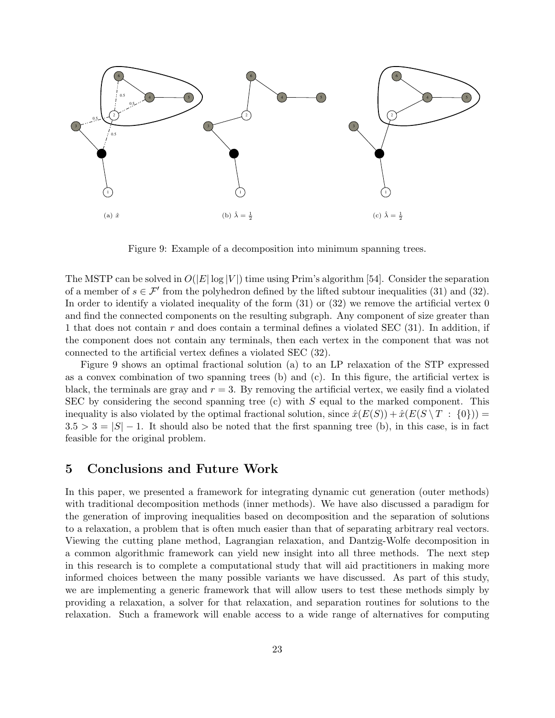

Figure 9: Example of a decomposition into minimum spanning trees.

The MSTP can be solved in  $O(|E| \log |V|)$  time using Prim's algorithm [54]. Consider the separation of a member of  $s \in \mathcal{F}'$  from the polyhedron defined by the lifted subtour inequalities (31) and (32). In order to identify a violated inequality of the form  $(31)$  or  $(32)$  we remove the artificial vertex 0 and find the connected components on the resulting subgraph. Any component of size greater than 1 that does not contain r and does contain a terminal defines a violated SEC  $(31)$ . In addition, if the component does not contain any terminals, then each vertex in the component that was not connected to the artificial vertex defines a violated SEC (32).

Figure 9 shows an optimal fractional solution (a) to an LP relaxation of the STP expressed as a convex combination of two spanning trees (b) and (c). In this figure, the artificial vertex is black, the terminals are gray and  $r = 3$ . By removing the artificial vertex, we easily find a violated SEC by considering the second spanning tree (c) with S equal to the marked component. This inequality is also violated by the optimal fractional solution, since  $\hat{x}(E(S)) + \hat{x}(E(S \setminus T : \{0\})) =$  $3.5 > 3 = |S| - 1$ . It should also be noted that the first spanning tree (b), in this case, is in fact feasible for the original problem.

## 5 Conclusions and Future Work

In this paper, we presented a framework for integrating dynamic cut generation (outer methods) with traditional decomposition methods (inner methods). We have also discussed a paradigm for the generation of improving inequalities based on decomposition and the separation of solutions to a relaxation, a problem that is often much easier than that of separating arbitrary real vectors. Viewing the cutting plane method, Lagrangian relaxation, and Dantzig-Wolfe decomposition in a common algorithmic framework can yield new insight into all three methods. The next step in this research is to complete a computational study that will aid practitioners in making more informed choices between the many possible variants we have discussed. As part of this study, we are implementing a generic framework that will allow users to test these methods simply by providing a relaxation, a solver for that relaxation, and separation routines for solutions to the relaxation. Such a framework will enable access to a wide range of alternatives for computing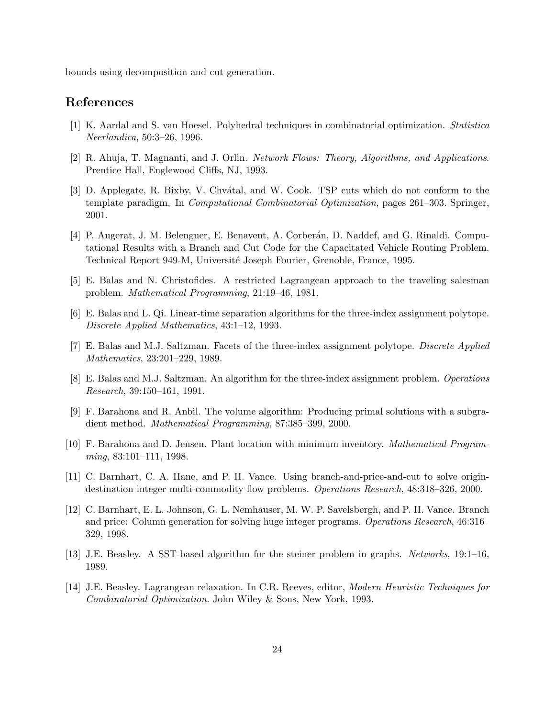bounds using decomposition and cut generation.

## References

- [1] K. Aardal and S. van Hoesel. Polyhedral techniques in combinatorial optimization. Statistica Neerlandica, 50:3–26, 1996.
- [2] R. Ahuja, T. Magnanti, and J. Orlin. Network Flows: Theory, Algorithms, and Applications. Prentice Hall, Englewood Cliffs, NJ, 1993.
- [3] D. Applegate, R. Bixby, V. Chvátal, and W. Cook. TSP cuts which do not conform to the template paradigm. In Computational Combinatorial Optimization, pages 261–303. Springer, 2001.
- [4] P. Augerat, J. M. Belenguer, E. Benavent, A. Corberán, D. Naddef, and G. Rinaldi. Computational Results with a Branch and Cut Code for the Capacitated Vehicle Routing Problem. Technical Report 949-M, Universit´e Joseph Fourier, Grenoble, France, 1995.
- [5] E. Balas and N. Christofides. A restricted Lagrangean approach to the traveling salesman problem. Mathematical Programming, 21:19–46, 1981.
- [6] E. Balas and L. Qi. Linear-time separation algorithms for the three-index assignment polytope. Discrete Applied Mathematics, 43:1–12, 1993.
- [7] E. Balas and M.J. Saltzman. Facets of the three-index assignment polytope. Discrete Applied Mathematics, 23:201–229, 1989.
- [8] E. Balas and M.J. Saltzman. An algorithm for the three-index assignment problem. Operations Research, 39:150–161, 1991.
- [9] F. Barahona and R. Anbil. The volume algorithm: Producing primal solutions with a subgradient method. Mathematical Programming, 87:385–399, 2000.
- [10] F. Barahona and D. Jensen. Plant location with minimum inventory. Mathematical Programming, 83:101–111, 1998.
- [11] C. Barnhart, C. A. Hane, and P. H. Vance. Using branch-and-price-and-cut to solve origindestination integer multi-commodity flow problems. Operations Research, 48:318–326, 2000.
- [12] C. Barnhart, E. L. Johnson, G. L. Nemhauser, M. W. P. Savelsbergh, and P. H. Vance. Branch and price: Column generation for solving huge integer programs. Operations Research, 46:316– 329, 1998.
- [13] J.E. Beasley. A SST-based algorithm for the steiner problem in graphs. Networks, 19:1–16, 1989.
- [14] J.E. Beasley. Lagrangean relaxation. In C.R. Reeves, editor, Modern Heuristic Techniques for Combinatorial Optimization. John Wiley & Sons, New York, 1993.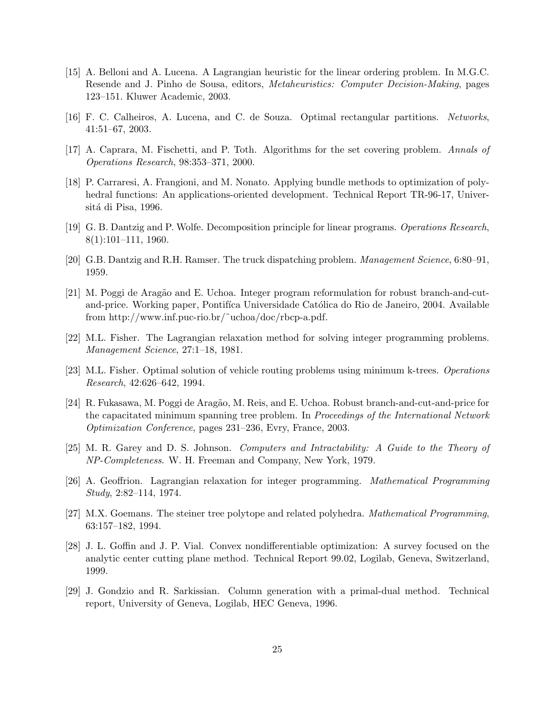- [15] A. Belloni and A. Lucena. A Lagrangian heuristic for the linear ordering problem. In M.G.C. Resende and J. Pinho de Sousa, editors, Metaheuristics: Computer Decision-Making, pages 123–151. Kluwer Academic, 2003.
- [16] F. C. Calheiros, A. Lucena, and C. de Souza. Optimal rectangular partitions. Networks, 41:51–67, 2003.
- [17] A. Caprara, M. Fischetti, and P. Toth. Algorithms for the set covering problem. Annals of Operations Research, 98:353–371, 2000.
- [18] P. Carraresi, A. Frangioni, and M. Nonato. Applying bundle methods to optimization of polyhedral functions: An applications-oriented development. Technical Report TR-96-17, Universitá di Pisa, 1996.
- [19] G. B. Dantzig and P. Wolfe. Decomposition principle for linear programs. Operations Research, 8(1):101–111, 1960.
- [20] G.B. Dantzig and R.H. Ramser. The truck dispatching problem. Management Science, 6:80–91, 1959.
- [21] M. Poggi de Aragão and E. Uchoa. Integer program reformulation for robust branch-and-cutand-price. Working paper, Pontifíca Universidade Católica do Rio de Janeiro, 2004. Available from http://www.inf.puc-rio.br/˜uchoa/doc/rbcp-a.pdf.
- [22] M.L. Fisher. The Lagrangian relaxation method for solving integer programming problems. Management Science, 27:1–18, 1981.
- [23] M.L. Fisher. Optimal solution of vehicle routing problems using minimum k-trees. Operations Research, 42:626–642, 1994.
- [24] R. Fukasawa, M. Poggi de Arag˜ao, M. Reis, and E. Uchoa. Robust branch-and-cut-and-price for the capacitated minimum spanning tree problem. In *Proceedings of the International Network* Optimization Conference, pages 231–236, Evry, France, 2003.
- [25] M. R. Garey and D. S. Johnson. Computers and Intractability: A Guide to the Theory of NP-Completeness. W. H. Freeman and Company, New York, 1979.
- [26] A. Geoffrion. Lagrangian relaxation for integer programming. Mathematical Programming Study, 2:82–114, 1974.
- [27] M.X. Goemans. The steiner tree polytope and related polyhedra. Mathematical Programming, 63:157–182, 1994.
- [28] J. L. Goffin and J. P. Vial. Convex nondifferentiable optimization: A survey focused on the analytic center cutting plane method. Technical Report 99.02, Logilab, Geneva, Switzerland, 1999.
- [29] J. Gondzio and R. Sarkissian. Column generation with a primal-dual method. Technical report, University of Geneva, Logilab, HEC Geneva, 1996.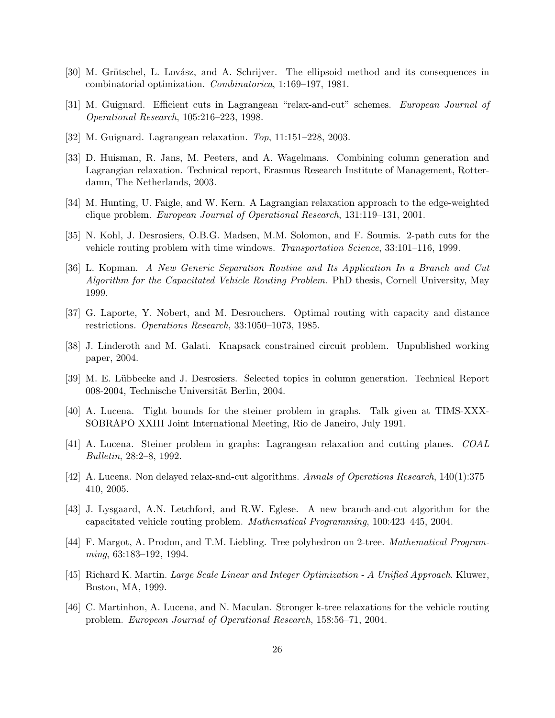- [30] M. Grötschel, L. Lovász, and A. Schrijver. The ellipsoid method and its consequences in combinatorial optimization. Combinatorica, 1:169–197, 1981.
- [31] M. Guignard. Efficient cuts in Lagrangean "relax-and-cut" schemes. European Journal of Operational Research, 105:216–223, 1998.
- [32] M. Guignard. Lagrangean relaxation. Top, 11:151–228, 2003.
- [33] D. Huisman, R. Jans, M. Peeters, and A. Wagelmans. Combining column generation and Lagrangian relaxation. Technical report, Erasmus Research Institute of Management, Rotterdamn, The Netherlands, 2003.
- [34] M. Hunting, U. Faigle, and W. Kern. A Lagrangian relaxation approach to the edge-weighted clique problem. European Journal of Operational Research, 131:119–131, 2001.
- [35] N. Kohl, J. Desrosiers, O.B.G. Madsen, M.M. Solomon, and F. Soumis. 2-path cuts for the vehicle routing problem with time windows. Transportation Science, 33:101–116, 1999.
- [36] L. Kopman. A New Generic Separation Routine and Its Application In a Branch and Cut Algorithm for the Capacitated Vehicle Routing Problem. PhD thesis, Cornell University, May 1999.
- [37] G. Laporte, Y. Nobert, and M. Desrouchers. Optimal routing with capacity and distance restrictions. Operations Research, 33:1050–1073, 1985.
- [38] J. Linderoth and M. Galati. Knapsack constrained circuit problem. Unpublished working paper, 2004.
- [39] M. E. Lübbecke and J. Desrosiers. Selected topics in column generation. Technical Report 008-2004, Technische Universität Berlin, 2004.
- [40] A. Lucena. Tight bounds for the steiner problem in graphs. Talk given at TIMS-XXX-SOBRAPO XXIII Joint International Meeting, Rio de Janeiro, July 1991.
- [41] A. Lucena. Steiner problem in graphs: Lagrangean relaxation and cutting planes. COAL Bulletin, 28:2–8, 1992.
- [42] A. Lucena. Non delayed relax-and-cut algorithms. Annals of Operations Research, 140(1):375– 410, 2005.
- [43] J. Lysgaard, A.N. Letchford, and R.W. Eglese. A new branch-and-cut algorithm for the capacitated vehicle routing problem. Mathematical Programming, 100:423–445, 2004.
- [44] F. Margot, A. Prodon, and T.M. Liebling. Tree polyhedron on 2-tree. Mathematical Programming, 63:183–192, 1994.
- [45] Richard K. Martin. Large Scale Linear and Integer Optimization A Unified Approach. Kluwer, Boston, MA, 1999.
- [46] C. Martinhon, A. Lucena, and N. Maculan. Stronger k-tree relaxations for the vehicle routing problem. European Journal of Operational Research, 158:56–71, 2004.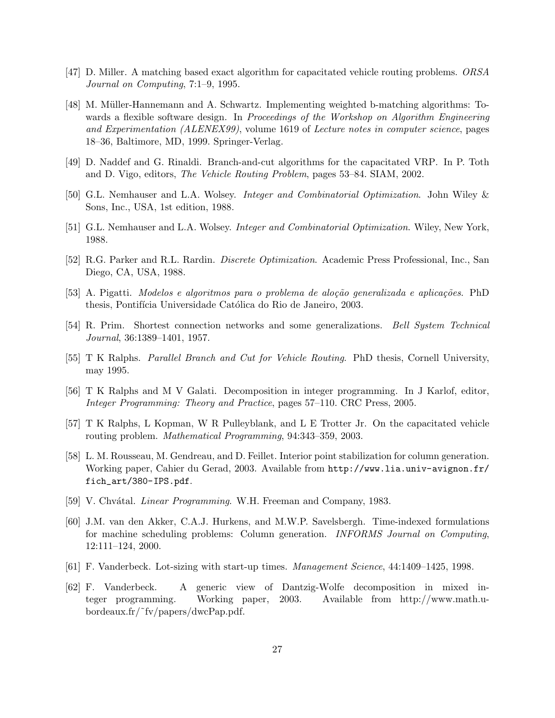- [47] D. Miller. A matching based exact algorithm for capacitated vehicle routing problems. ORSA Journal on Computing, 7:1–9, 1995.
- [48] M. Müller-Hannemann and A. Schwartz. Implementing weighted b-matching algorithms: Towards a flexible software design. In *Proceedings of the Workshop on Algorithm Engineering* and Experimentation (ALENEX99), volume 1619 of Lecture notes in computer science, pages 18–36, Baltimore, MD, 1999. Springer-Verlag.
- [49] D. Naddef and G. Rinaldi. Branch-and-cut algorithms for the capacitated VRP. In P. Toth and D. Vigo, editors, The Vehicle Routing Problem, pages 53–84. SIAM, 2002.
- [50] G.L. Nemhauser and L.A. Wolsey. Integer and Combinatorial Optimization. John Wiley & Sons, Inc., USA, 1st edition, 1988.
- [51] G.L. Nemhauser and L.A. Wolsey. *Integer and Combinatorial Optimization*. Wiley, New York, 1988.
- [52] R.G. Parker and R.L. Rardin. Discrete Optimization. Academic Press Professional, Inc., San Diego, CA, USA, 1988.
- [53] A. Pigatti. Modelos e algoritmos para o problema de aloção generalizada e aplicações. PhD thesis, Pontifícia Universidade Católica do Rio de Janeiro, 2003.
- [54] R. Prim. Shortest connection networks and some generalizations. Bell System Technical Journal, 36:1389–1401, 1957.
- [55] T K Ralphs. Parallel Branch and Cut for Vehicle Routing. PhD thesis, Cornell University, may 1995.
- [56] T K Ralphs and M V Galati. Decomposition in integer programming. In J Karlof, editor, Integer Programming: Theory and Practice, pages 57–110. CRC Press, 2005.
- [57] T K Ralphs, L Kopman, W R Pulleyblank, and L E Trotter Jr. On the capacitated vehicle routing problem. Mathematical Programming, 94:343–359, 2003.
- [58] L. M. Rousseau, M. Gendreau, and D. Feillet. Interior point stabilization for column generation. Working paper, Cahier du Gerad, 2003. Available from http://www.lia.univ-avignon.fr/ fich\_art/380-IPS.pdf.
- [59] V. Chvátal. *Linear Programming*. W.H. Freeman and Company, 1983.
- [60] J.M. van den Akker, C.A.J. Hurkens, and M.W.P. Savelsbergh. Time-indexed formulations for machine scheduling problems: Column generation. INFORMS Journal on Computing, 12:111–124, 2000.
- [61] F. Vanderbeck. Lot-sizing with start-up times. Management Science, 44:1409–1425, 1998.
- [62] F. Vanderbeck. A generic view of Dantzig-Wolfe decomposition in mixed integer programming. Working paper, 2003. Available from http://www.math.ubordeaux.fr/˜fv/papers/dwcPap.pdf.